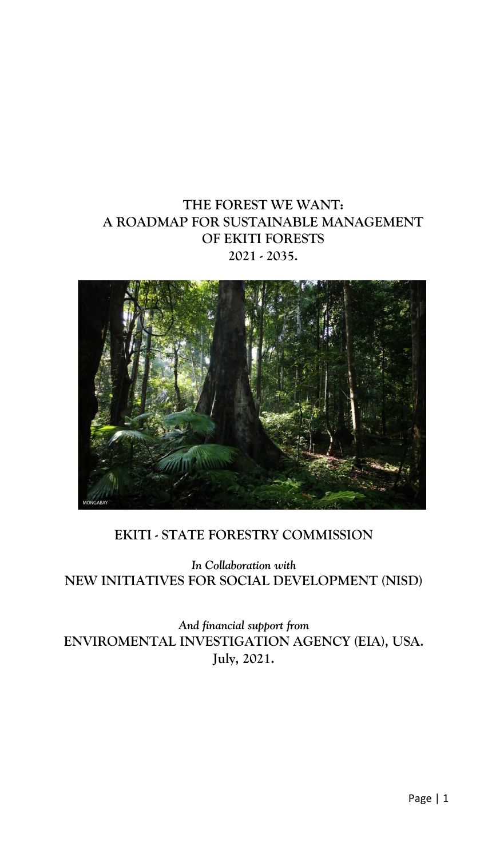# **THE FOREST WE WANT: A ROADMAP FOR SUSTAINABLE MANAGEMENT OF EKITI FORESTS 2021 - 2035.**



# **EKITI - STATE FORESTRY COMMISSION**

*In Collaboration with* **NEW INITIATIVES FOR SOCIAL DEVELOPMENT (NISD)**

*And financial support from* **ENVIROMENTAL INVESTIGATION AGENCY (EIA), USA. July, 2021.**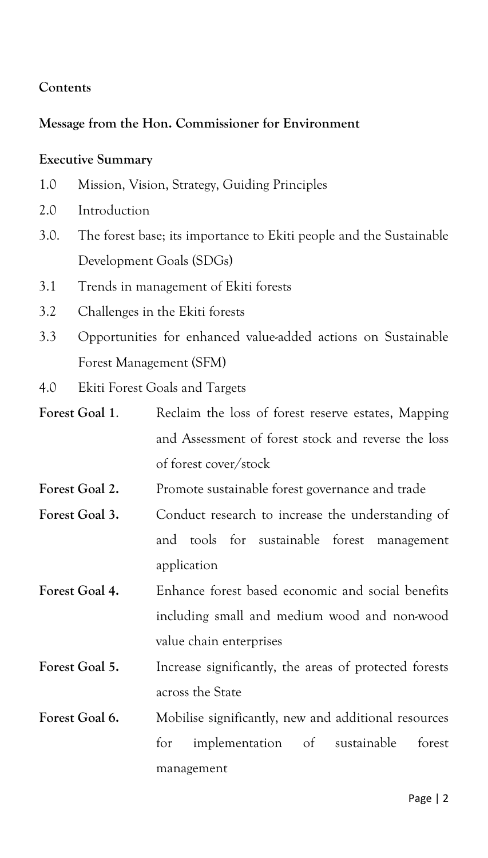#### **Contents**

#### **Message from the Hon. Commissioner for Environment**

#### **Executive Summary**

- 1.0 Mission, Vision, Strategy, Guiding Principles
- 2.0 Introduction
- 3.0. The forest base; its importance to Ekiti people and the Sustainable Development Goals (SDGs)
- 3.1 Trends in management of Ekiti forests
- 3.2 Challenges in the Ekiti forests
- 3.3 Opportunities for enhanced value-added actions on Sustainable Forest Management (SFM)
- 4.0Ekiti Forest Goals and Targets
- Forest Goal 1. Reclaim the loss of forest reserve estates, Mapping and Assessment of forest stock and reverse the loss of forest cover/stock
- **Forest Goal 2.** Promote sustainable forest governance and trade
- Forest Goal 3. Conduct research to increase the understanding of and tools for sustainable forest management application
- **Forest Goal 4.** Enhance forest based economic and social benefits including small and medium wood and non-wood value chain enterprises
- Forest Goal 5. Increase significantly, the areas of protected forests across the State
- Forest Goal 6. Mobilise significantly, new and additional resources for implementation of sustainable forest management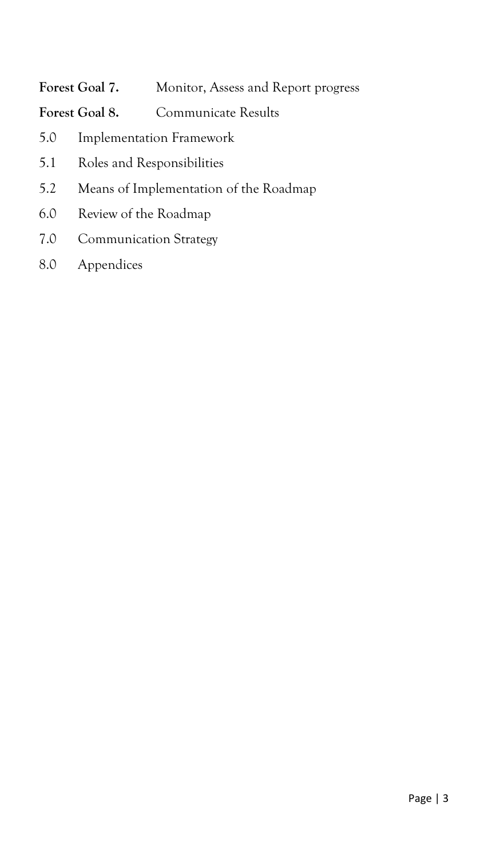# **Forest Goal 7.** Monitor, Assess and Report progress

Forest Goal 8. Communicate Results

- 5.0 Implementation Framework
- 5.1 Roles and Responsibilities
- 5.2 Means of Implementation of the Roadmap
- 6.0 Review of the Roadmap
- 7.0 Communication Strategy
- 8.0 Appendices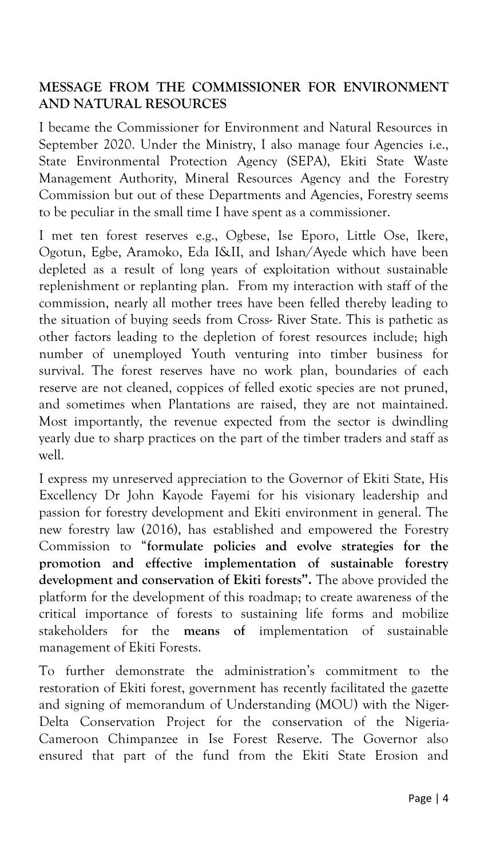# **MESSAGE FROM THE COMMISSIONER FOR ENVIRONMENT AND NATURAL RESOURCES**

I became the Commissioner for Environment and Natural Resources in September 2020. Under the Ministry, I also manage four Agencies i.e., State Environmental Protection Agency (SEPA), Ekiti State Waste Management Authority, Mineral Resources Agency and the Forestry Commission but out of these Departments and Agencies, Forestry seems to be peculiar in the small time I have spent as a commissioner.

I met ten forest reserves e.g., Ogbese, Ise Eporo, Little Ose, Ikere, Ogotun, Egbe, Aramoko, Eda I&II, and Ishan/Ayede which have been depleted as a result of long years of exploitation without sustainable replenishment or replanting plan. From my interaction with staff of the commission, nearly all mother trees have been felled thereby leading to the situation of buying seeds from Cross- River State. This is pathetic as other factors leading to the depletion of forest resources include; high number of unemployed Youth venturing into timber business for survival. The forest reserves have no work plan, boundaries of each reserve are not cleaned, coppices of felled exotic species are not pruned, and sometimes when Plantations are raised, they are not maintained. Most importantly, the revenue expected from the sector is dwindling yearly due to sharp practices on the part of the timber traders and staff as well.

I express my unreserved appreciation to the Governor of Ekiti State, His Excellency Dr John Kayode Fayemi for his visionary leadership and passion for forestry development and Ekiti environment in general. The new forestry law (2016), has established and empowered the Forestry Commission to "**formulate policies and evolve strategies for the promotion and effective implementation of sustainable forestry development and conservation of Ekiti forests".** The above provided the platform for the development of this roadmap; to create awareness of the critical importance of forests to sustaining life forms and mobilize stakeholders for the **means of** implementation of sustainable management of Ekiti Forests.

To further demonstrate the administration's commitment to the restoration of Ekiti forest, government has recently facilitated the gazette and signing of memorandum of Understanding (MOU) with the Niger-Delta Conservation Project for the conservation of the Nigeria-Cameroon Chimpanzee in Ise Forest Reserve. The Governor also ensured that part of the fund from the Ekiti State Erosion and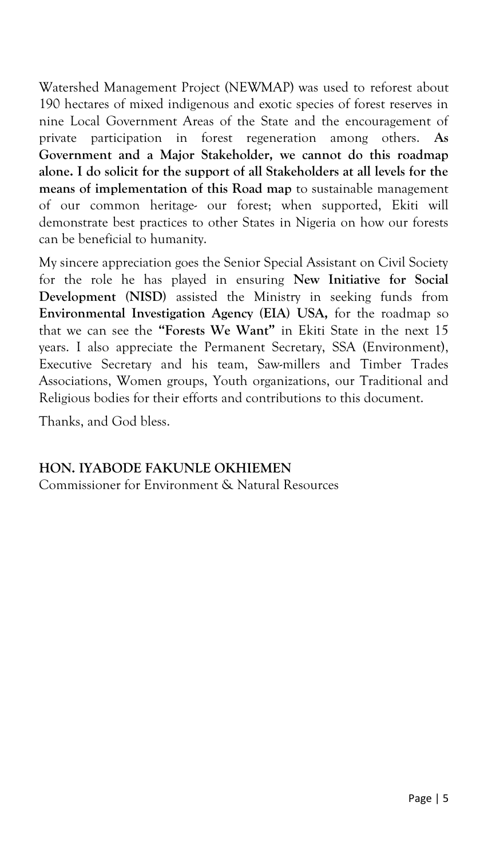Watershed Management Project (NEWMAP) was used to reforest about 190 hectares of mixed indigenous and exotic species of forest reserves in nine Local Government Areas of the State and the encouragement of private participation in forest regeneration among others. **As Government and a Major Stakeholder, we cannot do this roadmap alone. I do solicit for the support of all Stakeholders at all levels for the means of implementation of this Road map** to sustainable management of our common heritage- our forest; when supported, Ekiti will demonstrate best practices to other States in Nigeria on how our forests can be beneficial to humanity.

My sincere appreciation goes the Senior Special Assistant on Civil Society for the role he has played in ensuring **New Initiative for Social Development (NISD)** assisted the Ministry in seeking funds from **Environmental Investigation Agency (EIA) USA,** for the roadmap so that we can see the **"Forests We Want"** in Ekiti State in the next 15 years. I also appreciate the Permanent Secretary, SSA (Environment), Executive Secretary and his team, Saw-millers and Timber Trades Associations, Women groups, Youth organizations, our Traditional and Religious bodies for their efforts and contributions to this document.

Thanks, and God bless.

#### **HON. IYABODE FAKUNLE OKHIEMEN**

Commissioner for Environment & Natural Resources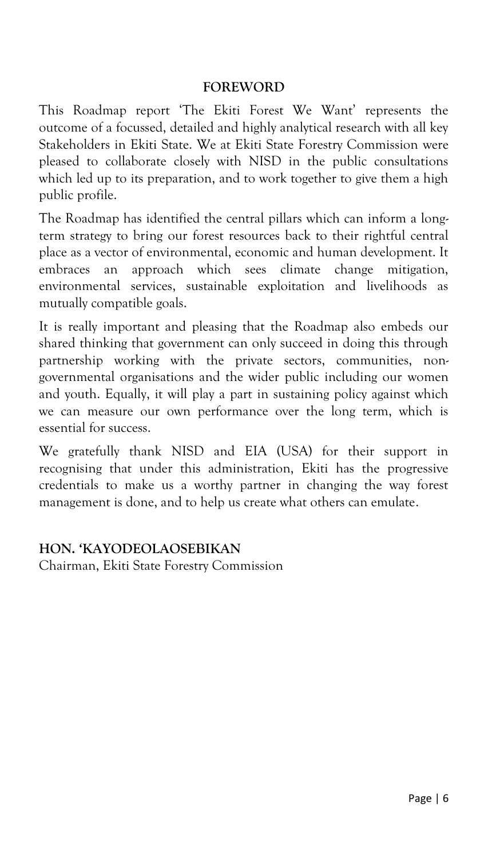#### **FOREWORD**

This Roadmap report 'The Ekiti Forest We Want' represents the outcome of a focussed, detailed and highly analytical research with all key Stakeholders in Ekiti State. We at Ekiti State Forestry Commission were pleased to collaborate closely with NISD in the public consultations which led up to its preparation, and to work together to give them a high public profile.

The Roadmap has identified the central pillars which can inform a longterm strategy to bring our forest resources back to their rightful central place as a vector of environmental, economic and human development. It embraces an approach which sees climate change mitigation, environmental services, sustainable exploitation and livelihoods as mutually compatible goals.

It is really important and pleasing that the Roadmap also embeds our shared thinking that government can only succeed in doing this through partnership working with the private sectors, communities, nongovernmental organisations and the wider public including our women and youth. Equally, it will play a part in sustaining policy against which we can measure our own performance over the long term, which is essential for success.

We gratefully thank NISD and EIA (USA) for their support in recognising that under this administration, Ekiti has the progressive credentials to make us a worthy partner in changing the way forest management is done, and to help us create what others can emulate.

#### **HON. 'KAYODEOLAOSEBIKAN**

Chairman, Ekiti State Forestry Commission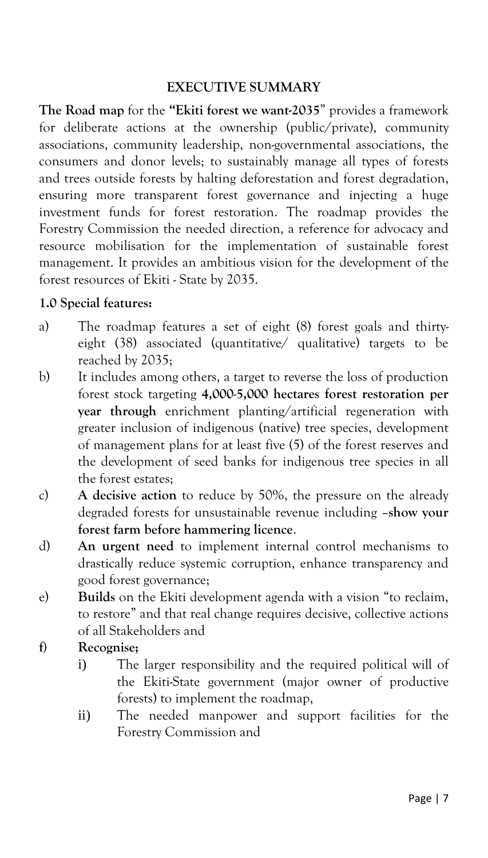#### **EXECUTIVE SUMMARY**

**The Road map** for the **"Ekiti forest we want-2035**" provides a framework for deliberate actions at the ownership (public/private), community associations, community leadership, non-governmental associations, the consumers and donor levels; to sustainably manage all types of forests and trees outside forests by halting deforestation and forest degradation, ensuring more transparent forest governance and injecting a huge investment funds for forest restoration. The roadmap provides the Forestry Commission the needed direction, a reference for advocacy and resource mobilisation for the implementation of sustainable forest management. It provides an ambitious vision for the development of the forest resources of Ekiti - State by 2035.

#### **1.0 Special features:**

- a) The roadmap features a set of eight (8) forest goals and thirtyeight (38) associated (quantitative/ qualitative) targets to be reached by 2035;
- b) It includes among others, a target to reverse the loss of production forest stock targeting **4,000**-**5,000 hectares forest restoration per year through** enrichment planting/artificial regeneration with greater inclusion of indigenous (native) tree species, development of management plans for at least five (5) of the forest reserves and the development of seed banks for indigenous tree species in all the forest estates;
- c) **A decisive action** to reduce by 50%, the pressure on the already degraded forests for unsustainable revenue including –**show your forest farm before hammering licence**.
- d) **An urgent need** to implement internal control mechanisms to drastically reduce systemic corruption, enhance transparency and good forest governance;
- e) **Builds** on the Ekiti development agenda with a vision "to reclaim, to restore" and that real change requires decisive, collective actions of all Stakeholders and

#### **f) Recognise;**

- i) The larger responsibility and the required political will of the Ekiti-State government (major owner of productive forests) to implement the roadmap,
- ii) The needed manpower and support facilities for the Forestry Commission and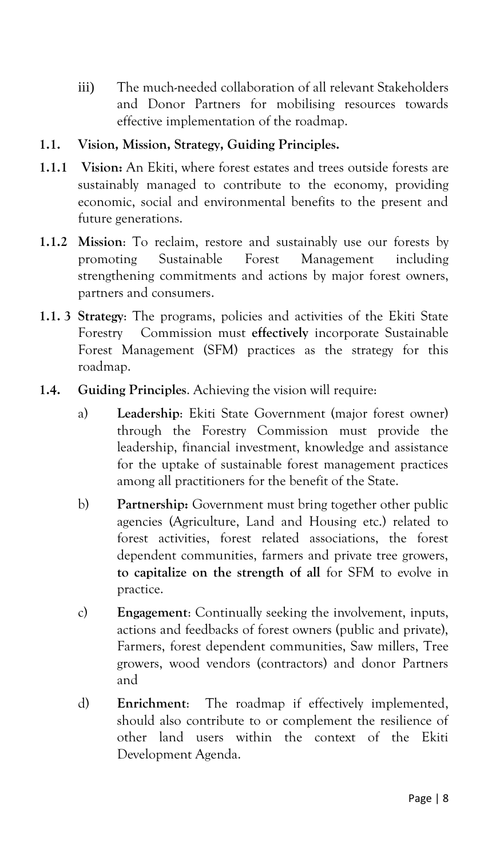iii) The much-needed collaboration of all relevant Stakeholders and Donor Partners for mobilising resources towards effective implementation of the roadmap.

#### **1.1. Vision, Mission, Strategy, Guiding Principles.**

- **1.1.1 Vision:** An Ekiti, where forest estates and trees outside forests are sustainably managed to contribute to the economy, providing economic, social and environmental benefits to the present and future generations.
- **1.1.2 Mission**: To reclaim, restore and sustainably use our forests by promoting Sustainable Forest Management including strengthening commitments and actions by major forest owners, partners and consumers.
- **1.1. 3 Strategy**: The programs, policies and activities of the Ekiti State Forestry Commission must **effectively** incorporate Sustainable Forest Management (SFM) practices as the strategy for this roadmap.
- **1.4. Guiding Principles**. Achieving the vision will require:
	- a) **Leadership**: Ekiti State Government (major forest owner) through the Forestry Commission must provide the leadership, financial investment, knowledge and assistance for the uptake of sustainable forest management practices among all practitioners for the benefit of the State.
	- b) **Partnership:** Government must bring together other public agencies (Agriculture, Land and Housing etc.) related to forest activities, forest related associations, the forest dependent communities, farmers and private tree growers, **to capitalize on the strength of all** for SFM to evolve in practice.
	- c) **Engagement**: Continually seeking the involvement, inputs, actions and feedbacks of forest owners (public and private), Farmers, forest dependent communities, Saw millers, Tree growers, wood vendors (contractors) and donor Partners and
	- d) **Enrichment**: The roadmap if effectively implemented, should also contribute to or complement the resilience of other land users within the context of the Ekiti Development Agenda.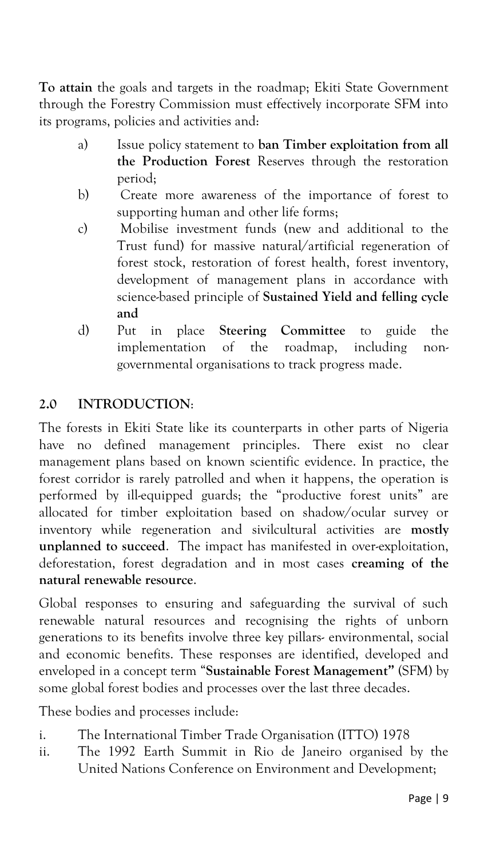**To attain** the goals and targets in the roadmap; Ekiti State Government through the Forestry Commission must effectively incorporate SFM into its programs, policies and activities and:

- a) Issue policy statement to **ban Timber exploitation from all the Production Forest** Reserves through the restoration period;
- b) Create more awareness of the importance of forest to supporting human and other life forms;
- c) Mobilise investment funds (new and additional to the Trust fund) for massive natural/artificial regeneration of forest stock, restoration of forest health, forest inventory, development of management plans in accordance with science-based principle of **Sustained Yield and felling cycle and**
- d) Put in place **Steering Committee** to guide the implementation of the roadmap, including nongovernmental organisations to track progress made.

# **2.0 INTRODUCTION**:

The forests in Ekiti State like its counterparts in other parts of Nigeria have no defined management principles. There exist no clear management plans based on known scientific evidence. In practice, the forest corridor is rarely patrolled and when it happens, the operation is performed by ill-equipped guards; the "productive forest units" are allocated for timber exploitation based on shadow/ocular survey or inventory while regeneration and sivilcultural activities are **mostly unplanned to succeed**. The impact has manifested in over-exploitation, deforestation, forest degradation and in most cases **creaming of the natural renewable resource**.

Global responses to ensuring and safeguarding the survival of such renewable natural resources and recognising the rights of unborn generations to its benefits involve three key pillars- environmental, social and economic benefits. These responses are identified, developed and enveloped in a concept term "**Sustainable Forest Management"** (SFM) by some global forest bodies and processes over the last three decades.

These bodies and processes include:

- i. The International Timber Trade Organisation (ITTO) 1978
- ii. The 1992 Earth Summit in Rio de Janeiro organised by the United Nations Conference on Environment and Development;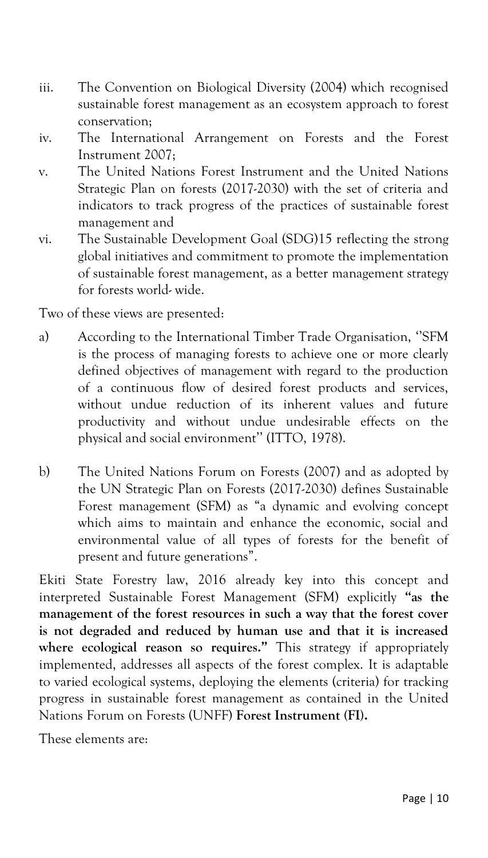- iii. The Convention on Biological Diversity (2004) which recognised sustainable forest management as an ecosystem approach to forest conservation;
- iv. The International Arrangement on Forests and the Forest Instrument 2007;
- v. The United Nations Forest Instrument and the United Nations Strategic Plan on forests (2017-2030) with the set of criteria and indicators to track progress of the practices of sustainable forest management and
- vi. The Sustainable Development Goal (SDG)15 reflecting the strong global initiatives and commitment to promote the implementation of sustainable forest management, as a better management strategy for forests world- wide.

Two of these views are presented:

- a) According to the International Timber Trade Organisation, ''SFM is the process of managing forests to achieve one or more clearly defined objectives of management with regard to the production of a continuous flow of desired forest products and services, without undue reduction of its inherent values and future productivity and without undue undesirable effects on the physical and social environment'' (ITTO, 1978).
- b) The United Nations Forum on Forests (2007) and as adopted by the UN Strategic Plan on Forests (2017-2030) defines Sustainable Forest management (SFM) as "a dynamic and evolving concept which aims to maintain and enhance the economic, social and environmental value of all types of forests for the benefit of present and future generations".

Ekiti State Forestry law, 2016 already key into this concept and interpreted Sustainable Forest Management (SFM) explicitly **"as the management of the forest resources in such a way that the forest cover is not degraded and reduced by human use and that it is increased where ecological reason so requires."** This strategy if appropriately implemented, addresses all aspects of the forest complex. It is adaptable to varied ecological systems, deploying the elements (criteria) for tracking progress in sustainable forest management as contained in the United Nations Forum on Forests (UNFF) **Forest Instrument (FI).**

These elements are: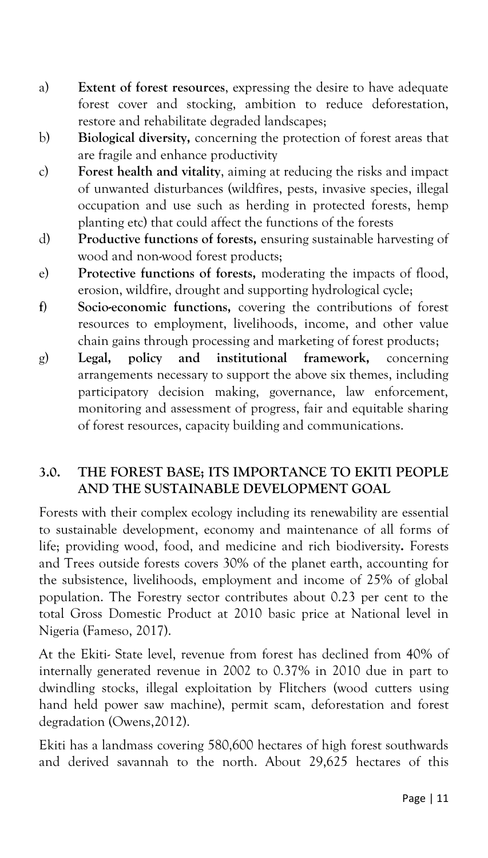- a) **Extent of forest resources**, expressing the desire to have adequate forest cover and stocking, ambition to reduce deforestation, restore and rehabilitate degraded landscapes;
- b) **Biological diversity,** concerning the protection of forest areas that are fragile and enhance productivity
- c) **Forest health and vitality**, aiming at reducing the risks and impact of unwanted disturbances (wildfires, pests, invasive species, illegal occupation and use such as herding in protected forests, hemp planting etc) that could affect the functions of the forests
- d) **Productive functions of forests,** ensuring sustainable harvesting of wood and non-wood forest products;
- e) **Protective functions of forests,** moderating the impacts of flood, erosion, wildfire, drought and supporting hydrological cycle;
- **f) Socio-economic functions,** covering the contributions of forest resources to employment, livelihoods, income, and other value chain gains through processing and marketing of forest products;
- g) **Legal, policy and institutional framework,** concerning arrangements necessary to support the above six themes, including participatory decision making, governance, law enforcement, monitoring and assessment of progress, fair and equitable sharing of forest resources, capacity building and communications.

# **3.0. THE FOREST BASE; ITS IMPORTANCE TO EKITI PEOPLE AND THE SUSTAINABLE DEVELOPMENT GOAL**

Forests with their complex ecology including its renewability are essential to sustainable development, economy and maintenance of all forms of life; providing wood, food, and medicine and rich biodiversity**.** Forests and Trees outside forests covers 30% of the planet earth, accounting for the subsistence, livelihoods, employment and income of 25% of global population. The Forestry sector contributes about 0.23 per cent to the total Gross Domestic Product at 2010 basic price at National level in Nigeria (Fameso, 2017).

At the Ekiti- State level, revenue from forest has declined from 40% of internally generated revenue in 2002 to 0.37% in 2010 due in part to dwindling stocks, illegal exploitation by Flitchers (wood cutters using hand held power saw machine), permit scam, deforestation and forest degradation (Owens,2012).

Ekiti has a landmass covering 580,600 hectares of high forest southwards and derived savannah to the north. About 29,625 hectares of this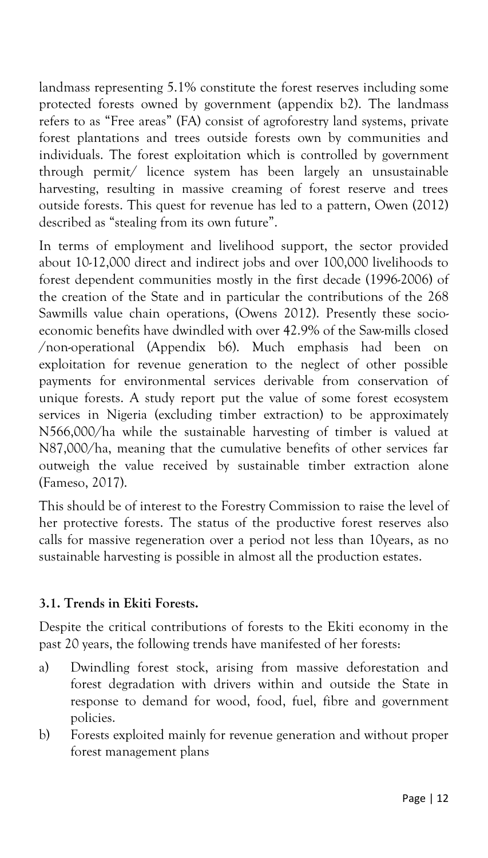landmass representing 5.1% constitute the forest reserves including some protected forests owned by government (appendix b2). The landmass refers to as "Free areas" (FA) consist of agroforestry land systems, private forest plantations and trees outside forests own by communities and individuals. The forest exploitation which is controlled by government through permit/ licence system has been largely an unsustainable harvesting, resulting in massive creaming of forest reserve and trees outside forests. This quest for revenue has led to a pattern, Owen (2012) described as "stealing from its own future".

In terms of employment and livelihood support, the sector provided about 10-12,000 direct and indirect jobs and over 100,000 livelihoods to forest dependent communities mostly in the first decade (1996-2006) of the creation of the State and in particular the contributions of the 268 Sawmills value chain operations, (Owens 2012). Presently these socioeconomic benefits have dwindled with over 42.9% of the Saw-mills closed /non-operational (Appendix b6). Much emphasis had been on exploitation for revenue generation to the neglect of other possible payments for environmental services derivable from conservation of unique forests. A study report put the value of some forest ecosystem services in Nigeria (excluding timber extraction) to be approximately N566,000/ha while the sustainable harvesting of timber is valued at N87,000/ha, meaning that the cumulative benefits of other services far outweigh the value received by sustainable timber extraction alone (Fameso, 2017).

This should be of interest to the Forestry Commission to raise the level of her protective forests. The status of the productive forest reserves also calls for massive regeneration over a period not less than 10years, as no sustainable harvesting is possible in almost all the production estates.

# **3.1. Trends in Ekiti Forests.**

Despite the critical contributions of forests to the Ekiti economy in the past 20 years, the following trends have manifested of her forests:

- a) Dwindling forest stock, arising from massive deforestation and forest degradation with drivers within and outside the State in response to demand for wood, food, fuel, fibre and government policies.
- b) Forests exploited mainly for revenue generation and without proper forest management plans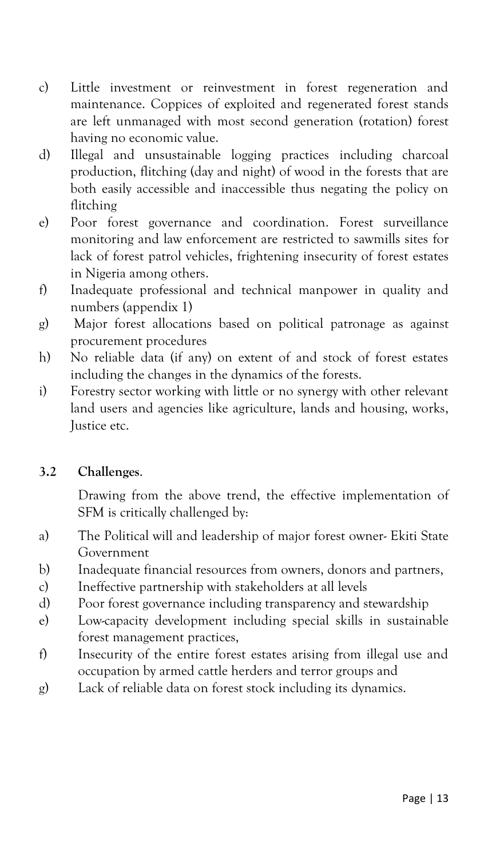- c) Little investment or reinvestment in forest regeneration and maintenance. Coppices of exploited and regenerated forest stands are left unmanaged with most second generation (rotation) forest having no economic value.
- d) Illegal and unsustainable logging practices including charcoal production, flitching (day and night) of wood in the forests that are both easily accessible and inaccessible thus negating the policy on flitching
- e) Poor forest governance and coordination. Forest surveillance monitoring and law enforcement are restricted to sawmills sites for lack of forest patrol vehicles, frightening insecurity of forest estates in Nigeria among others.
- f) Inadequate professional and technical manpower in quality and numbers (appendix 1)
- g) Major forest allocations based on political patronage as against procurement procedures
- h) No reliable data (if any) on extent of and stock of forest estates including the changes in the dynamics of the forests.
- i) Forestry sector working with little or no synergy with other relevant land users and agencies like agriculture, lands and housing, works, Justice etc.

# **3.2 Challenges**.

Drawing from the above trend, the effective implementation of SFM is critically challenged by:

- a) The Political will and leadership of major forest owner- Ekiti State Government
- b) Inadequate financial resources from owners, donors and partners,
- c) Ineffective partnership with stakeholders at all levels
- d) Poor forest governance including transparency and stewardship
- e) Low-capacity development including special skills in sustainable forest management practices,
- f) Insecurity of the entire forest estates arising from illegal use and occupation by armed cattle herders and terror groups and
- g) Lack of reliable data on forest stock including its dynamics.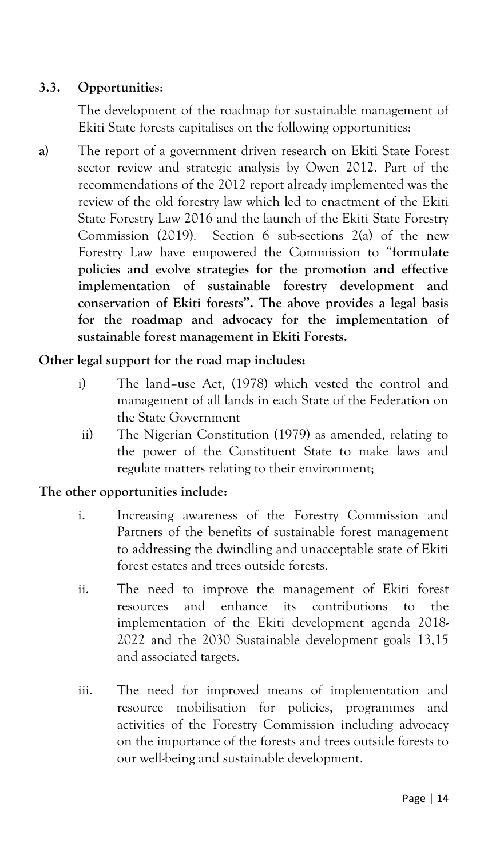# **3.3. Opportunities**:

The development of the roadmap for sustainable management of Ekiti State forests capitalises on the following opportunities:

**a)** The report of a government driven research on Ekiti State Forest sector review and strategic analysis by Owen 2012. Part of the recommendations of the 2012 report already implemented was the review of the old forestry law which led to enactment of the Ekiti State Forestry Law 2016 and the launch of the Ekiti State Forestry Commission (2019). Section 6 sub-sections 2(a) of the new Forestry Law have empowered the Commission to "**formulate policies and evolve strategies for the promotion and effective implementation of sustainable forestry development and conservation of Ekiti forests". The above provides a legal basis for the roadmap and advocacy for the implementation of sustainable forest management in Ekiti Forests.**

#### **Other legal support for the road map includes:**

- i) The land–use Act, (1978) which vested the control and management of all lands in each State of the Federation on the State Government
- ii) The Nigerian Constitution (1979) as amended, relating to the power of the Constituent State to make laws and regulate matters relating to their environment;

#### **The other opportunities include:**

- i. Increasing awareness of the Forestry Commission and Partners of the benefits of sustainable forest management to addressing the dwindling and unacceptable state of Ekiti forest estates and trees outside forests.
- ii. The need to improve the management of Ekiti forest resources and enhance its contributions to the implementation of the Ekiti development agenda 2018- 2022 and the 2030 Sustainable development goals 13,15 and associated targets.
- iii. The need for improved means of implementation and resource mobilisation for policies, programmes and activities of the Forestry Commission including advocacy on the importance of the forests and trees outside forests to our well-being and sustainable development.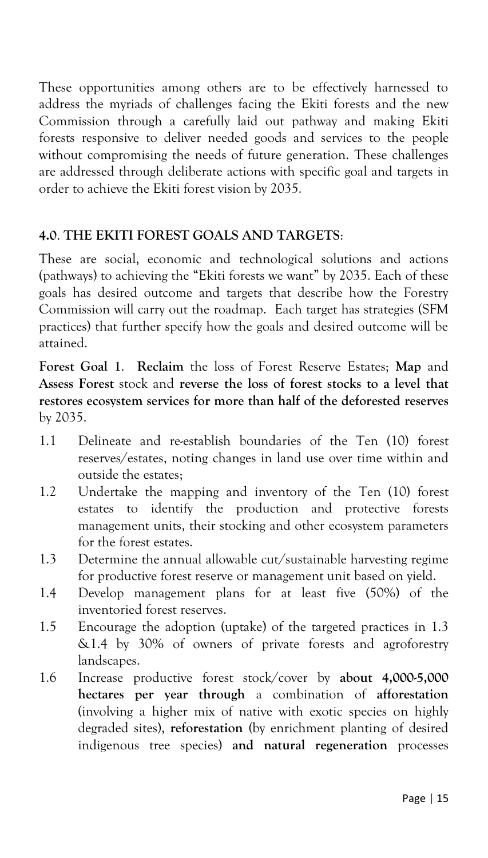These opportunities among others are to be effectively harnessed to address the myriads of challenges facing the Ekiti forests and the new Commission through a carefully laid out pathway and making Ekiti forests responsive to deliver needed goods and services to the people without compromising the needs of future generation. These challenges are addressed through deliberate actions with specific goal and targets in order to achieve the Ekiti forest vision by 2035.

#### **4.0**. **THE EKITI FOREST GOALS AND TARGETS**:

These are social, economic and technological solutions and actions (pathways) to achieving the "Ekiti forests we want" by 2035. Each of these goals has desired outcome and targets that describe how the Forestry Commission will carry out the roadmap. Each target has strategies (SFM practices) that further specify how the goals and desired outcome will be attained.

**Forest Goal 1**. **Reclaim** the loss of Forest Reserve Estates; **Map** and **Assess Forest** stock and **reverse the loss of forest stocks to a level that restores ecosystem services for more than half of the deforested reserves** by 2035.

- 1.1 Delineate and re-establish boundaries of the Ten (10) forest reserves/estates, noting changes in land use over time within and outside the estates;
- 1.2 Undertake the mapping and inventory of the Ten (10) forest estates to identify the production and protective forests management units, their stocking and other ecosystem parameters for the forest estates.
- 1.3 Determine the annual allowable cut/sustainable harvesting regime for productive forest reserve or management unit based on yield.
- 1.4 Develop management plans for at least five (50%) of the inventoried forest reserves.
- 1.5 Encourage the adoption (uptake) of the targeted practices in 1.3 &1.4 by 30% of owners of private forests and agroforestry landscapes.
- 1.6 Increase productive forest stock/cover by **about 4,000-5,000 hectares per year through** a combination of **afforestation** (involving a higher mix of native with exotic species on highly degraded sites), **reforestation (**by enrichment planting of desired indigenous tree species) **and natural regeneration** processes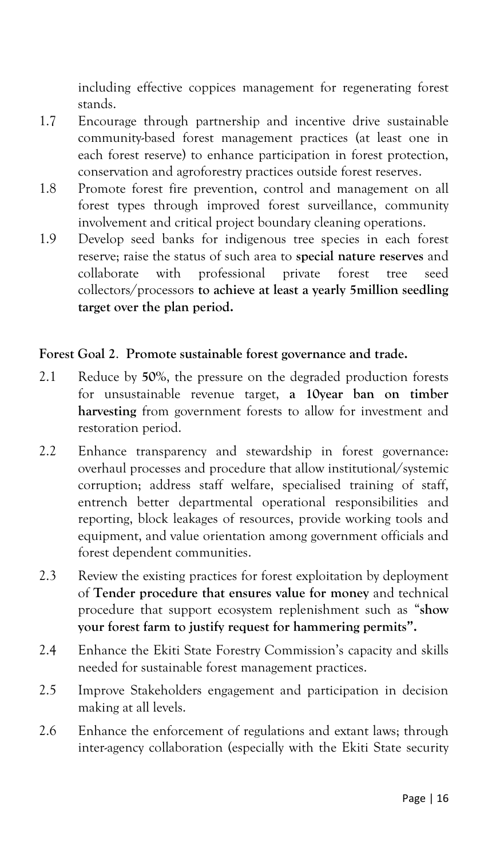including effective coppices management for regenerating forest stands.

- 1.7 Encourage through partnership and incentive drive sustainable community-based forest management practices (at least one in each forest reserve) to enhance participation in forest protection, conservation and agroforestry practices outside forest reserves.
- 1.8 Promote forest fire prevention, control and management on all forest types through improved forest surveillance, community involvement and critical project boundary cleaning operations.
- 1.9 Develop seed banks for indigenous tree species in each forest reserve; raise the status of such area to **special nature reserves** and collaborate with professional private forest tree seed collectors/processors **to achieve at least a yearly 5million seedling target over the plan period.**

#### **Forest Goal 2**. **Promote sustainable forest governance and trade.**

- 2.1 Reduce by **50%**, the pressure on the degraded production forests for unsustainable revenue target, **a 10year ban on timber harvesting** from government forests to allow for investment and restoration period.
- 2.2 Enhance transparency and stewardship in forest governance: overhaul processes and procedure that allow institutional/systemic corruption; address staff welfare, specialised training of staff, entrench better departmental operational responsibilities and reporting, block leakages of resources, provide working tools and equipment, and value orientation among government officials and forest dependent communities.
- 2.3 Review the existing practices for forest exploitation by deployment of **Tender procedure that ensures value for money** and technical procedure that support ecosystem replenishment such as "**show your forest farm to justify request for hammering permits".**
- 2.4 Enhance the Ekiti State Forestry Commission's capacity and skills needed for sustainable forest management practices.
- 2.5 Improve Stakeholders engagement and participation in decision making at all levels.
- 2.6 Enhance the enforcement of regulations and extant laws; through inter-agency collaboration (especially with the Ekiti State security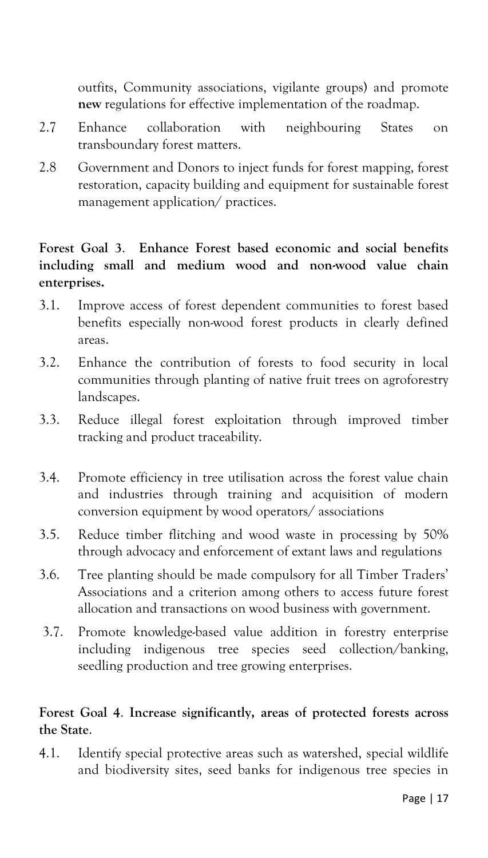outfits, Community associations, vigilante groups) and promote **new** regulations for effective implementation of the roadmap.

- 2.7 Enhance collaboration with neighbouring States on transboundary forest matters.
- 2.8 Government and Donors to inject funds for forest mapping, forest restoration, capacity building and equipment for sustainable forest management application/ practices.

# **Forest Goal 3**. **Enhance Forest based economic and social benefits including small and medium wood and non-wood value chain enterprises.**

- 3.1. Improve access of forest dependent communities to forest based benefits especially non-wood forest products in clearly defined areas.
- 3.2. Enhance the contribution of forests to food security in local communities through planting of native fruit trees on agroforestry landscapes.
- 3.3. Reduce illegal forest exploitation through improved timber tracking and product traceability.
- 3.4. Promote efficiency in tree utilisation across the forest value chain and industries through training and acquisition of modern conversion equipment by wood operators/ associations
- 3.5. Reduce timber flitching and wood waste in processing by 50% through advocacy and enforcement of extant laws and regulations
- 3.6. Tree planting should be made compulsory for all Timber Traders' Associations and a criterion among others to access future forest allocation and transactions on wood business with government.
- 3.7. Promote knowledge-based value addition in forestry enterprise including indigenous tree species seed collection/banking, seedling production and tree growing enterprises.

## **Forest Goal 4**. **Increase significantly, areas of protected forests across the State**.

4.1. Identify special protective areas such as watershed, special wildlife and biodiversity sites, seed banks for indigenous tree species in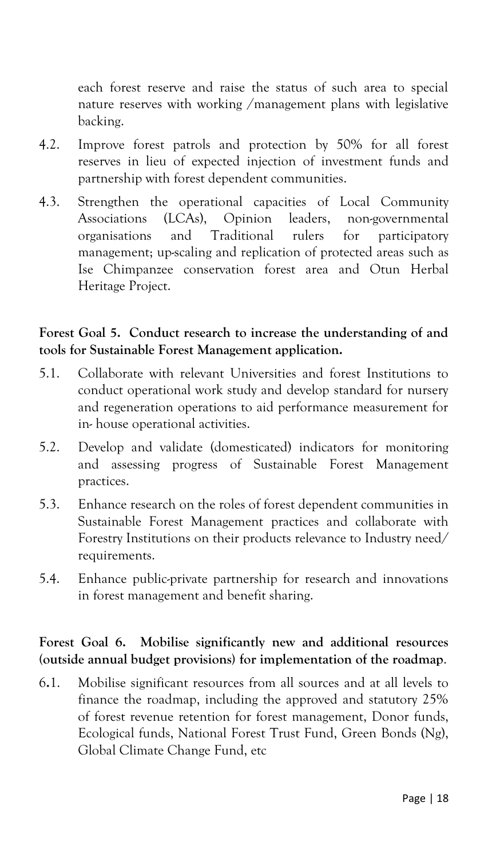each forest reserve and raise the status of such area to special nature reserves with working /management plans with legislative backing.

- 4.2. Improve forest patrols and protection by 50% for all forest reserves in lieu of expected injection of investment funds and partnership with forest dependent communities.
- 4.3. Strengthen the operational capacities of Local Community Associations (LCAs), Opinion leaders, non-governmental organisations and Traditional rulers for participatory management; up-scaling and replication of protected areas such as Ise Chimpanzee conservation forest area and Otun Herbal Heritage Project.

# **Forest Goal 5. Conduct research to increase the understanding of and tools for Sustainable Forest Management application.**

- 5.1. Collaborate with relevant Universities and forest Institutions to conduct operational work study and develop standard for nursery and regeneration operations to aid performance measurement for in- house operational activities.
- 5.2. Develop and validate (domesticated) indicators for monitoring and assessing progress of Sustainable Forest Management practices.
- 5.3. Enhance research on the roles of forest dependent communities in Sustainable Forest Management practices and collaborate with Forestry Institutions on their products relevance to Industry need/ requirements.
- 5.4. Enhance public-private partnership for research and innovations in forest management and benefit sharing.

## **Forest Goal 6. Mobilise significantly new and additional resources (outside annual budget provisions) for implementation of the roadmap**.

6**.**1. Mobilise significant resources from all sources and at all levels to finance the roadmap, including the approved and statutory 25% of forest revenue retention for forest management, Donor funds, Ecological funds, National Forest Trust Fund, Green Bonds (Ng), Global Climate Change Fund, etc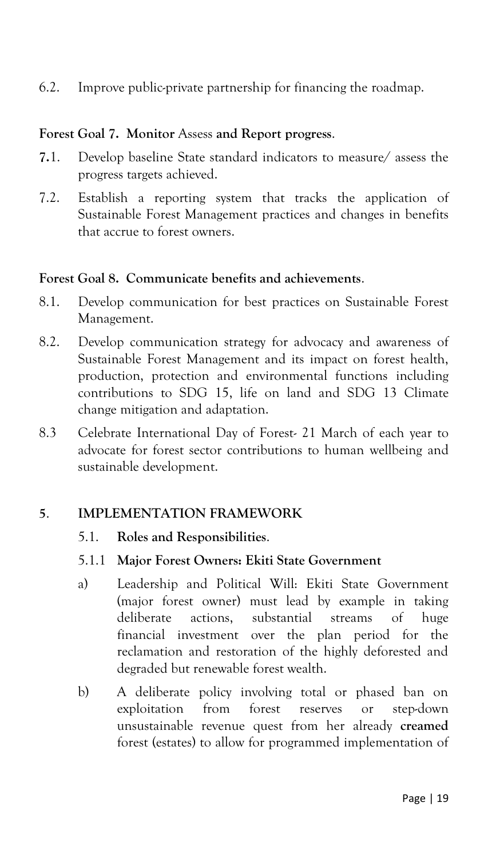6.2. Improve public-private partnership for financing the roadmap.

#### **Forest Goal 7. Monitor** Assess **and Report progress**.

- **7.**1. Develop baseline State standard indicators to measure/ assess the progress targets achieved.
- 7.2. Establish a reporting system that tracks the application of Sustainable Forest Management practices and changes in benefits that accrue to forest owners.

#### **Forest Goal 8. Communicate benefits and achievements**.

- 8.1. Develop communication for best practices on Sustainable Forest Management.
- 8.2. Develop communication strategy for advocacy and awareness of Sustainable Forest Management and its impact on forest health, production, protection and environmental functions including contributions to SDG 15, life on land and SDG 13 Climate change mitigation and adaptation.
- 8.3 Celebrate International Day of Forest- 21 March of each year to advocate for forest sector contributions to human wellbeing and sustainable development.

#### **5**. **IMPLEMENTATION FRAMEWORK**

- 5.1. **Roles and Responsibilities**.
- 5.1.1 **Major Forest Owners: Ekiti State Government**
- a) Leadership and Political Will: Ekiti State Government (major forest owner) must lead by example in taking deliberate actions, substantial streams of huge financial investment over the plan period for the reclamation and restoration of the highly deforested and degraded but renewable forest wealth.
- b) A deliberate policy involving total or phased ban on exploitation from forest reserves or step-down unsustainable revenue quest from her already **creamed** forest (estates) to allow for programmed implementation of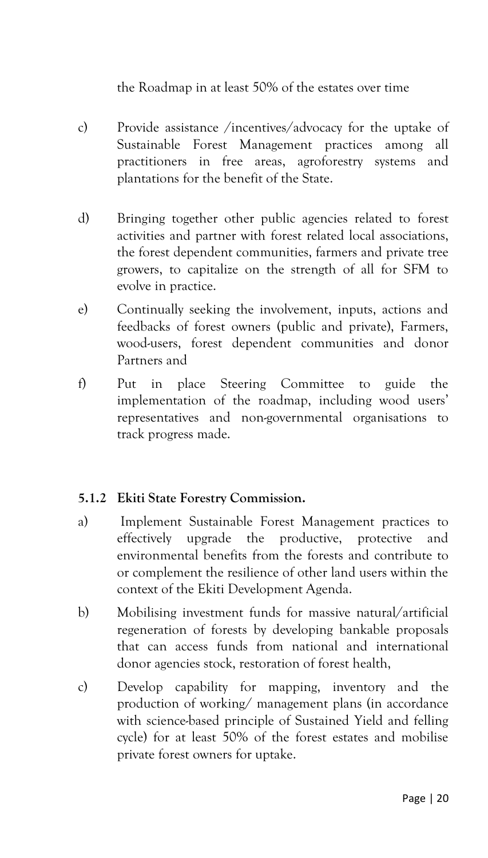the Roadmap in at least 50% of the estates over time

- c) Provide assistance /incentives/advocacy for the uptake of Sustainable Forest Management practices among all practitioners in free areas, agroforestry systems and plantations for the benefit of the State.
- d) Bringing together other public agencies related to forest activities and partner with forest related local associations, the forest dependent communities, farmers and private tree growers, to capitalize on the strength of all for SFM to evolve in practice.
- e) Continually seeking the involvement, inputs, actions and feedbacks of forest owners (public and private), Farmers, wood-users, forest dependent communities and donor Partners and
- f) Put in place Steering Committee to guide the implementation of the roadmap, including wood users' representatives and non-governmental organisations to track progress made.

# **5.1.2 Ekiti State Forestry Commission.**

- a) Implement Sustainable Forest Management practices to effectively upgrade the productive, protective and environmental benefits from the forests and contribute to or complement the resilience of other land users within the context of the Ekiti Development Agenda.
- b) Mobilising investment funds for massive natural/artificial regeneration of forests by developing bankable proposals that can access funds from national and international donor agencies stock, restoration of forest health,
- c) Develop capability for mapping, inventory and the production of working/ management plans (in accordance with science-based principle of Sustained Yield and felling cycle) for at least 50% of the forest estates and mobilise private forest owners for uptake.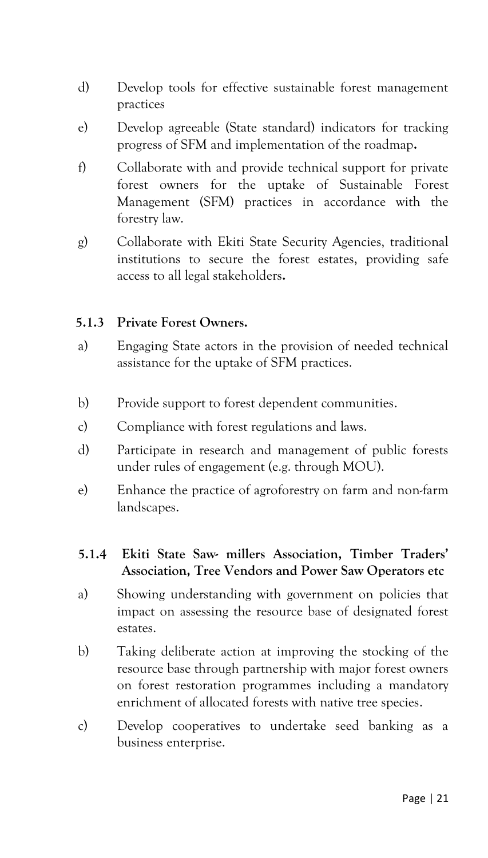- d) Develop tools for effective sustainable forest management practices
- e) Develop agreeable (State standard) indicators for tracking progress of SFM and implementation of the roadmap**.**
- f) Collaborate with and provide technical support for private forest owners for the uptake of Sustainable Forest Management (SFM) practices in accordance with the forestry law.
- g) Collaborate with Ekiti State Security Agencies, traditional institutions to secure the forest estates, providing safe access to all legal stakeholders**.**

#### **5.1.3 Private Forest Owners.**

- a) Engaging State actors in the provision of needed technical assistance for the uptake of SFM practices.
- b) Provide support to forest dependent communities.
- c) Compliance with forest regulations and laws.
- d) Participate in research and management of public forests under rules of engagement (e.g. through MOU).
- e) Enhance the practice of agroforestry on farm and non-farm landscapes.
- **5.1.4 Ekiti State Saw- millers Association, Timber Traders' Association, Tree Vendors and Power Saw Operators etc**
- a) Showing understanding with government on policies that impact on assessing the resource base of designated forest estates.
- b) Taking deliberate action at improving the stocking of the resource base through partnership with major forest owners on forest restoration programmes including a mandatory enrichment of allocated forests with native tree species.
- c) Develop cooperatives to undertake seed banking as a business enterprise.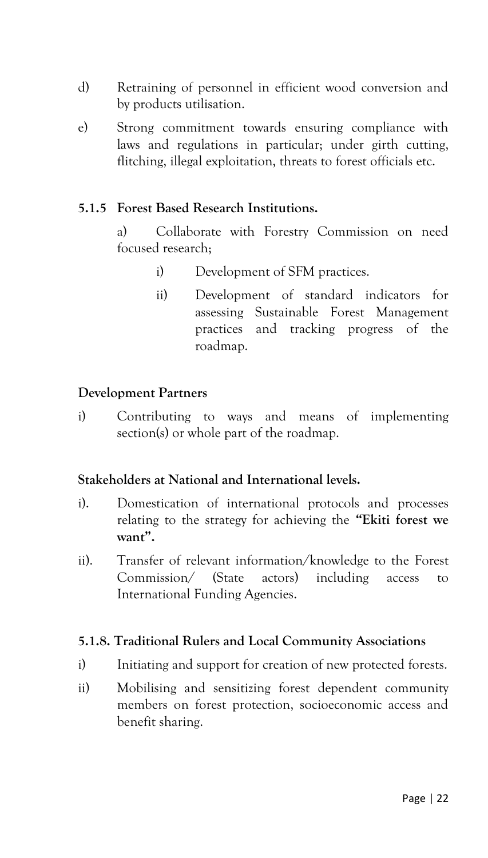- d) Retraining of personnel in efficient wood conversion and by products utilisation.
- e) Strong commitment towards ensuring compliance with laws and regulations in particular; under girth cutting, flitching, illegal exploitation, threats to forest officials etc.

#### **5.1.5 Forest Based Research Institutions.**

a) Collaborate with Forestry Commission on need focused research;

- i) Development of SFM practices.
- ii) Development of standard indicators for assessing Sustainable Forest Management practices and tracking progress of the roadmap.

#### **Development Partners**

i) Contributing to ways and means of implementing section(s) or whole part of the roadmap.

#### **Stakeholders at National and International levels.**

- i). Domestication of international protocols and processes relating to the strategy for achieving the **"Ekiti forest we want".**
- ii). Transfer of relevant information/knowledge to the Forest Commission/ (State actors) including access to International Funding Agencies.

#### **5.1.8. Traditional Rulers and Local Community Associations**

- i) Initiating and support for creation of new protected forests.
- ii) Mobilising and sensitizing forest dependent community members on forest protection, socioeconomic access and benefit sharing.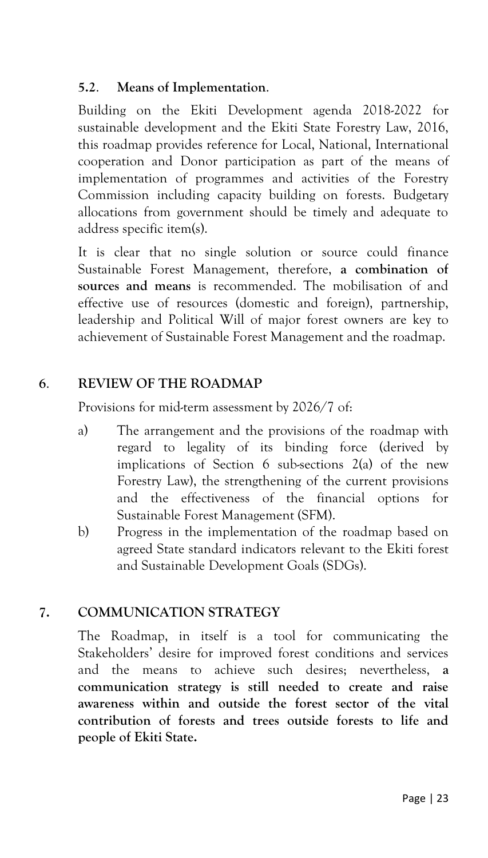## **5.2**. **Means of Implementation**.

Building on the Ekiti Development agenda 2018-2022 for sustainable development and the Ekiti State Forestry Law, 2016, this roadmap provides reference for Local, National, International cooperation and Donor participation as part of the means of implementation of programmes and activities of the Forestry Commission including capacity building on forests. Budgetary allocations from government should be timely and adequate to address specific item(s).

It is clear that no single solution or source could finance Sustainable Forest Management, therefore, **a combination of sources and means** is recommended. The mobilisation of and effective use of resources (domestic and foreign), partnership, leadership and Political Will of major forest owners are key to achievement of Sustainable Forest Management and the roadmap.

# **6**. **REVIEW OF THE ROADMAP**

Provisions for mid-term assessment by 2026/7 of:

- a) The arrangement and the provisions of the roadmap with regard to legality of its binding force (derived by implications of Section 6 sub-sections 2(a) of the new Forestry Law), the strengthening of the current provisions and the effectiveness of the financial options for Sustainable Forest Management (SFM).
- b) Progress in the implementation of the roadmap based on agreed State standard indicators relevant to the Ekiti forest and Sustainable Development Goals (SDGs).

## **7. COMMUNICATION STRATEGY**

The Roadmap, in itself is a tool for communicating the Stakeholders' desire for improved forest conditions and services and the means to achieve such desires; nevertheless, **a communication strategy is still needed to create and raise awareness within and outside the forest sector of the vital contribution of forests and trees outside forests to life and people of Ekiti State.**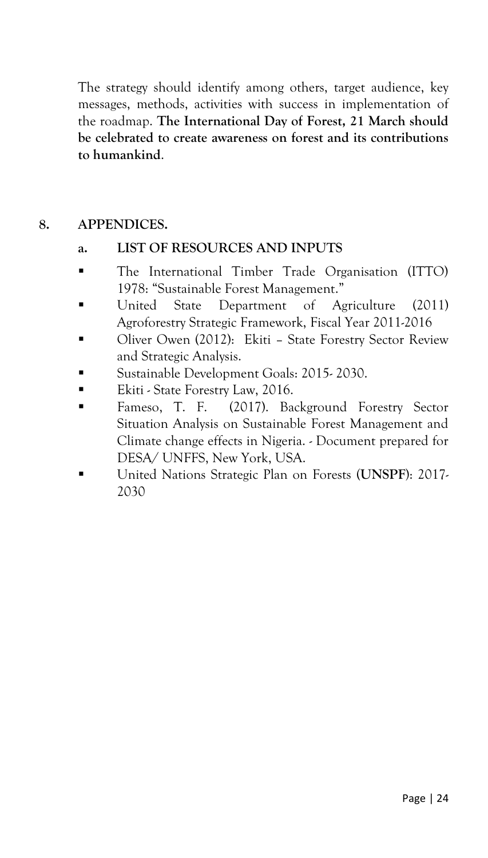The strategy should identify among others, target audience, key messages, methods, activities with success in implementation of the roadmap. **The International Day of Forest, 21 March should be celebrated to create awareness on forest and its contributions to humankind**.

# **8. APPENDICES.**

#### **a. LIST OF RESOURCES AND INPUTS**

- The International Timber Trade Organisation (ITTO) 1978: "Sustainable Forest Management."
- United State Department of Agriculture (2011) Agroforestry Strategic Framework, Fiscal Year 2011-2016
- Oliver Owen (2012): Ekiti State Forestry Sector Review and Strategic Analysis.
- Sustainable Development Goals: 2015-2030.
- Ekiti State Forestry Law, 2016.
- Fameso, T. F. (2017). Background Forestry Sector Situation Analysis on Sustainable Forest Management and Climate change effects in Nigeria. - Document prepared for DESA/ UNFFS, New York, USA.
- United Nations Strategic Plan on Forests (**UNSPF**): 2017- 2030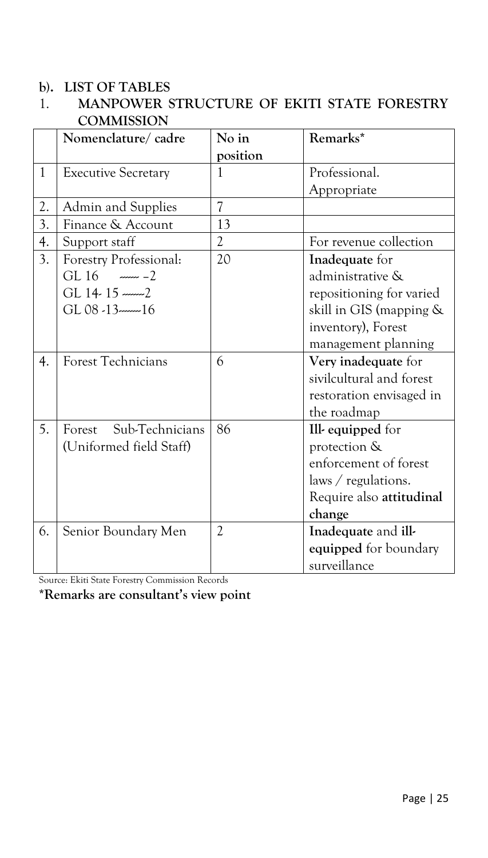#### **b). LIST OF TABLES**

# 1. **MANPOWER STRUCTURE OF EKITI STATE FORESTRY COMMISSION**

|              | Nomenclature/cadre         | No in                    | Remarks*                 |
|--------------|----------------------------|--------------------------|--------------------------|
|              |                            | position                 |                          |
| $\mathbf{1}$ | <b>Executive Secretary</b> | 1                        | Professional.            |
|              |                            |                          | Appropriate              |
| 2.           | Admin and Supplies         | $\overline{\mathcal{U}}$ |                          |
| 3.           | Finance & Account          | 13                       |                          |
| 4.           | Support staff              | 2                        | For revenue collection   |
| 3.           | Forestry Professional:     | 20                       | Inadequate for           |
|              | GL $16$ $\frac{16}{2}$     |                          | administrative &         |
|              | GL 14-15 --------2         |                          | repositioning for varied |
|              | $GL$ 08 $-13$ $-16$        |                          | skill in GIS (mapping &  |
|              |                            |                          | inventory), Forest       |
|              |                            |                          | management planning      |
| 4.           | Forest Technicians         | 6                        | Very inadequate for      |
|              |                            |                          | sivilcultural and forest |
|              |                            |                          | restoration envisaged in |
|              |                            |                          | the roadmap              |
| 5.           | Sub-Technicians<br>Forest  | 86                       | Ill-equipped for         |
|              | (Uniformed field Staff)    |                          | protection &             |
|              |                            |                          | enforcement of forest    |
|              |                            |                          | laws / regulations.      |
|              |                            |                          | Require also attitudinal |
|              |                            |                          | change                   |
| 6.           | Senior Boundary Men        | $\overline{2}$           | Inadequate and ill-      |
|              |                            |                          | equipped for boundary    |
|              |                            |                          | surveillance             |

Source: Ekiti State Forestry Commission Records

**\*Remarks are consultant's view point**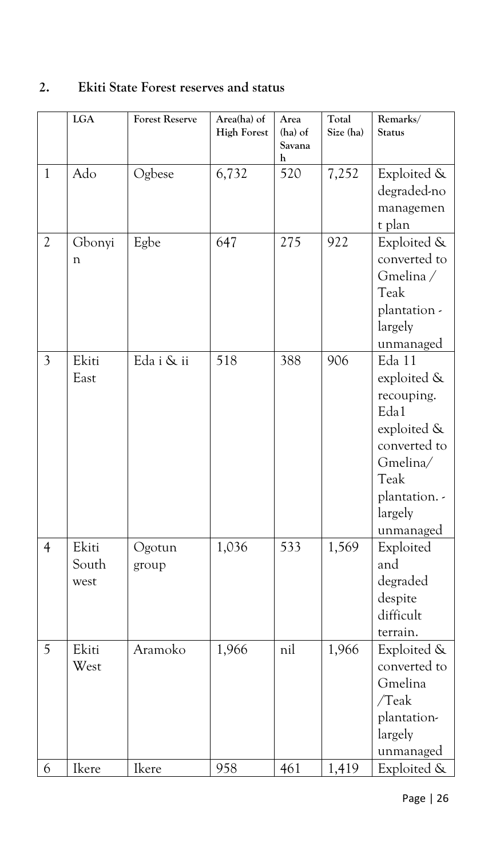# **2. Ekiti State Forest reserves and status**

|                | LGA                    | <b>Forest Reserve</b> | Area(ha) of<br><b>High Forest</b> | Area<br>(ha) of<br>Savana<br>h | Total<br>Size (ha) | Remarks/<br><b>Status</b>                                                                                                               |
|----------------|------------------------|-----------------------|-----------------------------------|--------------------------------|--------------------|-----------------------------------------------------------------------------------------------------------------------------------------|
| $\mathbf{1}$   | Ado                    | Ogbese                | 6,732                             | 520                            | 7,252              | Exploited &<br>degraded-no<br>managemen<br>t plan                                                                                       |
| $\overline{2}$ | Gbonyi<br>n            | Egbe                  | 647                               | 275                            | 922                | Exploited &<br>converted to<br>Gmelina /<br>Teak<br>plantation -<br>largely<br>unmanaged                                                |
| $\mathfrak{Z}$ | Ekiti<br>East          | Eda i & ii            | 518                               | 388                            | 906                | Eda 11<br>exploited &<br>recouping.<br>Eda1<br>exploited &<br>converted to<br>Gmelina/<br>Teak<br>plantation. -<br>largely<br>unmanaged |
| $\overline{4}$ | Ekiti<br>South<br>west | Ogotun<br>group       | 1,036                             | 533                            | 1,569              | Exploited<br>and<br>degraded<br>despite<br>difficult<br>terrain.                                                                        |
| 5              | Ekiti<br>West          | Aramoko               | 1,966                             | nil                            | 1,966              | Exploited &<br>converted to<br>Gmelina<br>/Teak<br>plantation-<br>largely<br>unmanaged                                                  |
| 6              | Ikere                  | Ikere                 | 958                               | 461                            | 1,419              | Exploited &                                                                                                                             |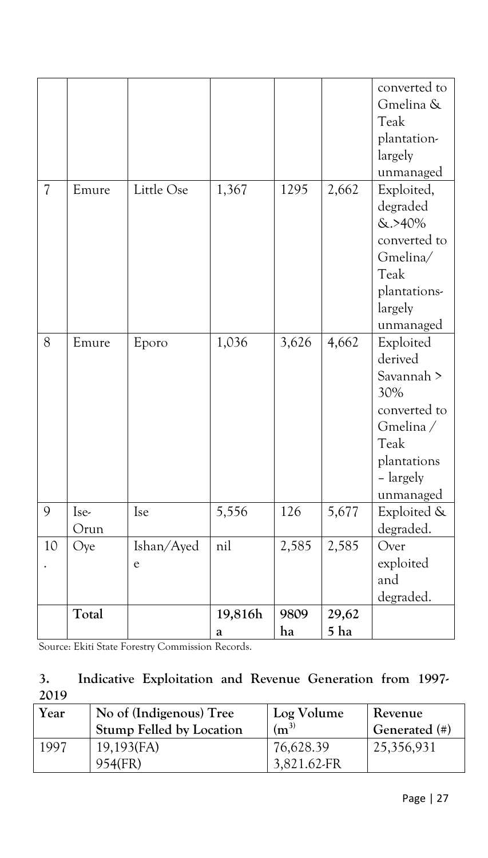|                          |              |                 |              |            |               | converted to<br>Gmelina &<br>Teak<br>plantation-<br>largely<br>unmanaged                                               |
|--------------------------|--------------|-----------------|--------------|------------|---------------|------------------------------------------------------------------------------------------------------------------------|
| $\overline{\mathcal{U}}$ | Emure        | Little Ose      | 1,367        | 1295       | 2,662         | Exploited,<br>degraded<br>$&. > 40\%$<br>converted to<br>Gmelina/<br>Teak<br>plantations-<br>largely<br>unmanaged      |
| 8                        | Emure        | Eporo           | 1,036        | 3,626      | 4,662         | Exploited<br>derived<br>Savannah ><br>30%<br>converted to<br>Gmelina/<br>Teak<br>plantations<br>- largely<br>unmanaged |
| 9                        | Ise-<br>Orun | Ise             | 5,556        | 126        | 5,677         | Exploited &<br>degraded.                                                                                               |
| 10                       | Oye          | Ishan/Ayed<br>e | nil          | 2,585      | 2,585         | Over<br>exploited<br>and<br>degraded.                                                                                  |
|                          | Total        |                 | 19,816h<br>a | 9809<br>ha | 29,62<br>5 ha |                                                                                                                        |

Source: Ekiti State Forestry Commission Records.

# **3. Indicative Exploitation and Revenue Generation from 1997- 2019**

| Year | No of (Indigenous) Tree         | Log Volume               | Revenue       |
|------|---------------------------------|--------------------------|---------------|
|      | <b>Stump Felled by Location</b> | $(m^{3})$                | Generated (#) |
| 1997 | $19,193$ (FA)<br>954(FR)        | 76,628.39<br>3,821.62-FR | 25,356,931    |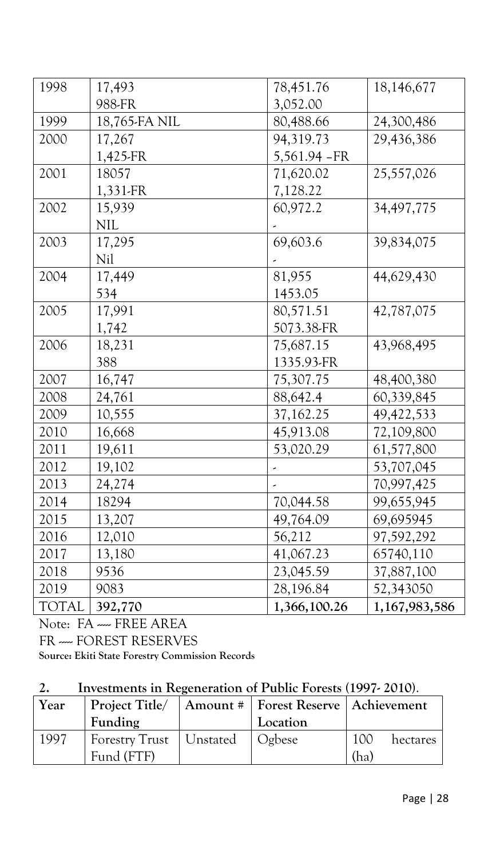| 1998         | 17,493        | 78,451.76     | 18,146,677    |
|--------------|---------------|---------------|---------------|
|              | 988-FR        | 3,052.00      |               |
| 1999         | 18,765-FA NIL | 80,488.66     | 24,300,486    |
| 2000         | 17,267        | 94,319.73     | 29,436,386    |
|              | 1,425-FR      | 5,561.94 - FR |               |
| 2001         | 18057         | 71,620.02     | 25,557,026    |
|              | 1,331-FR      | 7,128.22      |               |
| 2002         | 15,939        | 60,972.2      | 34,497,775    |
|              | <b>NIL</b>    |               |               |
| 2003         | 17,295        | 69,603.6      | 39,834,075    |
|              | Nil           |               |               |
| 2004         | 17,449        | 81,955        | 44,629,430    |
|              | 534           | 1453.05       |               |
| 2005         | 17,991        | 80,571.51     | 42,787,075    |
|              | 1,742         | 5073.38-FR    |               |
| 2006         | 18,231        | 75,687.15     | 43,968,495    |
|              | 388           | 1335.93-FR    |               |
| 2007         | 16,747        | 75,307.75     | 48,400,380    |
| 2008         | 24,761        | 88,642.4      | 60,339,845    |
| 2009         | 10,555        | 37,162.25     | 49, 422, 533  |
| 2010         | 16,668        | 45,913.08     | 72,109,800    |
| 2011         | 19,611        | 53,020.29     | 61,577,800    |
| 2012         | 19,102        |               | 53,707,045    |
| 2013         | 24,274        |               | 70,997,425    |
| 2014         | 18294         | 70,044.58     | 99,655,945    |
| 2015         | 13,207        | 49,764.09     | 69,695945     |
| 2016         | 12,010        | 56,212        | 97,592,292    |
| 2017         | 13,180        | 41,067.23     | 65740,110     |
| 2018         | 9536          | 23,045.59     | 37,887,100    |
| 2019         | 9083          | 28,196.84     | 52,343050     |
| <b>TOTAL</b> | 392,770       | 1,366,100.26  | 1,167,983,586 |

Note: FA - FREE AREA

FR ---- FOREST RESERVES

**Source: Ekiti State Forestry Commission Records**

# **2. Investments in Regeneration of Public Forests (1997- 2010)**.

| Year | Project Title/            | Amount #   Forest Reserve   Achievement |                 |
|------|---------------------------|-----------------------------------------|-----------------|
|      | Funding                   | Location                                |                 |
| 1997 | Forestry Trust   Unstated | Ogbese                                  | 100<br>hectares |
|      | Fund (FTF)                |                                         | (ha)            |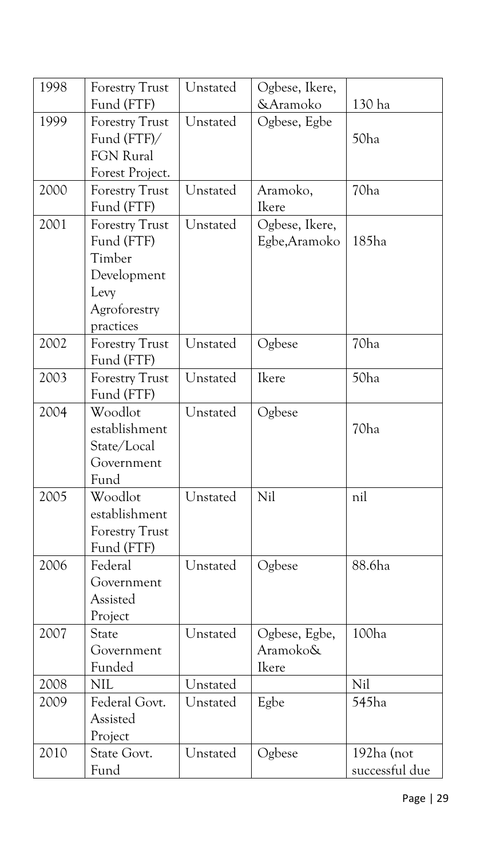| 1998 | <b>Forestry Trust</b>             | Unstated | Ogbese, Ikere, |                |
|------|-----------------------------------|----------|----------------|----------------|
|      | Fund (FTF)                        |          | &Aramoko       | 130 ha         |
| 1999 | Unstated<br><b>Forestry Trust</b> |          | Ogbese, Egbe   |                |
|      | Fund (FTF)/                       |          |                | 50ha           |
|      | <b>FGN Rural</b>                  |          |                |                |
|      | Forest Project.                   |          |                |                |
| 2000 | <b>Forestry Trust</b>             | Unstated | Aramoko,       | 70ha           |
|      | Fund (FTF)                        |          | Ikere          |                |
| 2001 | <b>Forestry Trust</b>             | Unstated | Ogbese, Ikere, |                |
|      | Fund (FTF)                        |          | Egbe, Aramoko  | 185ha          |
|      | Timber                            |          |                |                |
|      | Development                       |          |                |                |
|      | Levy                              |          |                |                |
|      | Agroforestry                      |          |                |                |
|      | practices                         |          |                |                |
| 2002 | <b>Forestry Trust</b>             | Unstated | Ogbese         | 70ha           |
|      | Fund (FTF)                        |          |                |                |
| 2003 | <b>Forestry Trust</b>             | Unstated | Ikere          | 50ha           |
|      | Fund (FTF)                        |          |                |                |
| 2004 | Woodlot                           | Unstated | Ogbese         |                |
|      | establishment                     |          |                | 70ha           |
|      | State/Local                       |          |                |                |
|      | Government                        |          |                |                |
|      | Fund                              |          |                |                |
| 2005 | Woodlot<br>Unstated               |          | Nil            | nil            |
|      | establishment                     |          |                |                |
|      | <b>Forestry Trust</b>             |          |                |                |
|      | Fund (FTF)                        |          |                |                |
| 2006 | Federal                           | Unstated | Ogbese         | 88.6ha         |
|      | Government                        |          |                |                |
|      | Assisted                          |          |                |                |
|      | Project                           |          |                |                |
| 2007 | State                             | Unstated | Ogbese, Egbe,  | 100ha          |
|      | Government                        |          | Aramoko&       |                |
|      | Funded                            |          | Ikere          |                |
| 2008 | <b>NIL</b>                        | Unstated |                | Nil            |
| 2009 | Federal Govt.                     | Unstated | Egbe           | 545ha          |
|      | Assisted                          |          |                |                |
|      | Project                           |          |                |                |
| 2010 | State Govt.                       | Unstated | Ogbese         | 192ha (not     |
|      | Fund                              |          |                | successful due |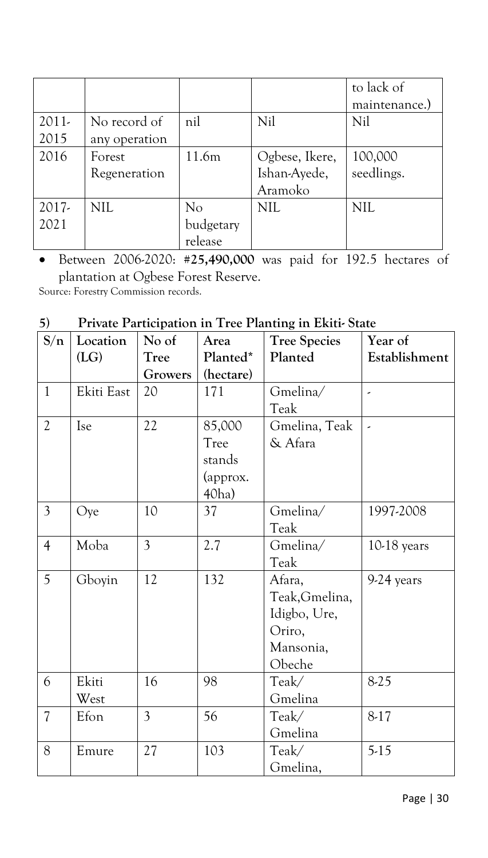|         |               |           |                | to lack of    |
|---------|---------------|-----------|----------------|---------------|
|         |               |           |                | maintenance.) |
| $2011-$ | No record of  | nil       | Nil            | Nil           |
| 2015    | any operation |           |                |               |
| 2016    | Forest        | 11.6m     | Ogbese, Ikere, | 100,000       |
|         | Regeneration  |           | Ishan-Ayede,   | seedlings.    |
|         |               |           | Aramoko        |               |
| $2017-$ | <b>NIL</b>    | No        | <b>NIL</b>     | <b>NIL</b>    |
| 2021    |               | budgetary |                |               |
|         |               | release   |                |               |

• Between 2006-2020: **#25,490,000** was paid for 192.5 hectares of plantation at Ogbese Forest Reserve. Source: Forestry Commission records.

# **5) Private Participation in Tree Planting in Ekiti- State**

| S/n                      | Location   | No of          | Area      | <b>Tree Species</b> | Year of                  |
|--------------------------|------------|----------------|-----------|---------------------|--------------------------|
|                          | (LG)       | Tree           | Planted*  | Planted             | Establishment            |
|                          |            | Growers        | (hectare) |                     |                          |
| $\mathbf{1}$             | Ekiti East | 20             | 171       | Gmelina/            | $\overline{\phantom{a}}$ |
|                          |            |                |           | Teak                |                          |
| $\mathfrak{2}$           | Ise        | 22             | 85,000    | Gmelina, Teak       | $\overline{\phantom{a}}$ |
|                          |            |                | Tree      | & Afara             |                          |
|                          |            |                | stands    |                     |                          |
|                          |            |                | (approx.  |                     |                          |
|                          |            |                | 40ha      |                     |                          |
| $\mathfrak{Z}$           | Oye        | 10             | 37        | Gmelina/            | 1997-2008                |
|                          |            |                |           | Teak                |                          |
| $\overline{4}$           | Moba       | 3              | 2.7       | Gmelina/            | $10-18$ years            |
|                          |            |                |           | Teak                |                          |
| 5                        | Gboyin     | 12             | 132       | Afara,              | 9-24 years               |
|                          |            |                |           | Teak, Gmelina,      |                          |
|                          |            |                |           | Idigbo, Ure,        |                          |
|                          |            |                |           | Oriro,              |                          |
|                          |            |                |           | Mansonia,           |                          |
|                          |            |                |           | Obeche              |                          |
| 6                        | Ekiti      | 16             | 98        | Teak/               | 8-25                     |
|                          | West       |                |           | Gmelina             |                          |
| $\overline{\mathcal{U}}$ | Efon       | $\overline{3}$ | 56        | Teak/               | $8-17$                   |
|                          |            |                |           | Gmelina             |                          |
| 8                        | Emure      | 27             | 103       | Teak/               | $5-15$                   |
|                          |            |                |           | Gmelina,            |                          |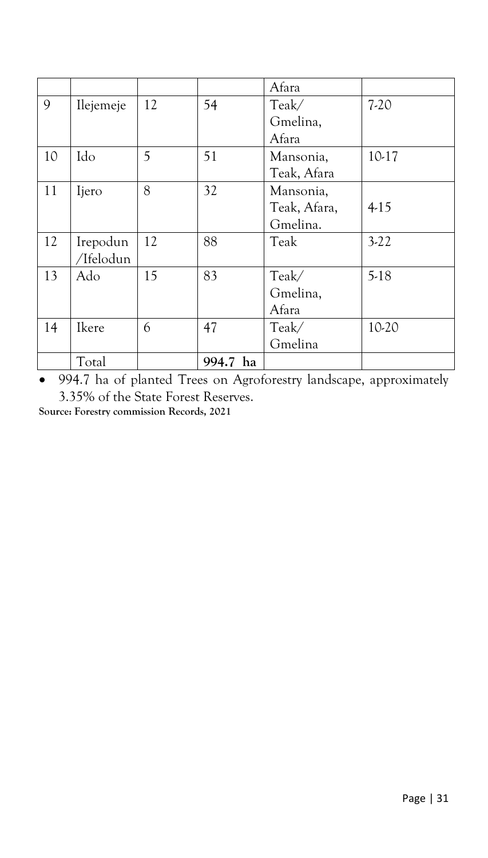|    |           |    |          | Afara        |        |
|----|-----------|----|----------|--------------|--------|
| 9  | Ilejemeje | 12 | 54       | Teak/        | $7-20$ |
|    |           |    |          | Gmelina,     |        |
|    |           |    |          | Afara        |        |
| 10 | Ido       | 5  | 51       | Mansonia,    | 10-17  |
|    |           |    |          | Teak, Afara  |        |
| 11 | Ijero     | 8  | 32       | Mansonia,    |        |
|    |           |    |          | Teak, Afara, | $4-15$ |
|    |           |    |          | Gmelina.     |        |
| 12 | Irepodun  | 12 | 88       | Teak         | $3-22$ |
|    | /Ifelodun |    |          |              |        |
| 13 | Ado       | 15 | 83       | Teak/        | $5-18$ |
|    |           |    |          | Gmelina,     |        |
|    |           |    |          | Afara        |        |
| 14 | Ikere     | 6  | 47       | Teak/        | 10-20  |
|    |           |    |          | Gmelina      |        |
|    | Total     |    | 994.7 ha |              |        |

• 994.7 ha of planted Trees on Agroforestry landscape, approximately 3.35% of the State Forest Reserves.

**Source: Forestry commission Records, 2021**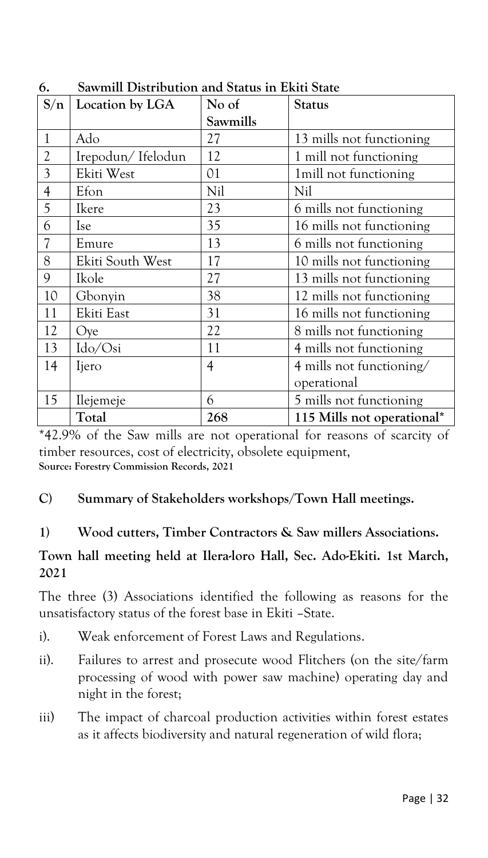| S/n            | Location by LGA   | No of          | <b>Status</b>              |
|----------------|-------------------|----------------|----------------------------|
|                |                   | Sawmills       |                            |
| $\mathbf{1}$   | Ado               | 27             | 13 mills not functioning   |
| $\overline{2}$ | Irepodun/Ifelodun | 12             | 1 mill not functioning     |
| 3              | Ekiti West        | 01             | 1 mill not functioning     |
| $\overline{4}$ | Efon              | Nil            | Nil                        |
| 5              | Ikere             | 23             | 6 mills not functioning    |
| 6              | <b>Ise</b>        | 35             | 16 mills not functioning   |
|                | Emure             | 13             | 6 mills not functioning    |
| 8              | Ekiti South West  | 17             | 10 mills not functioning   |
| 9              | Ikole             | 27             | 13 mills not functioning   |
| 10             | Gbonyin           | 38             | 12 mills not functioning   |
| 11             | Ekiti East        | 31             | 16 mills not functioning   |
| 12             | Oye               | 22             | 8 mills not functioning    |
| 13             | Ido/Osi           | 11             | 4 mills not functioning    |
| 14             | Ijero             | $\overline{4}$ | 4 mills not functioning/   |
|                |                   |                | operational                |
| 15             | Ilejemeje         | 6              | 5 mills not functioning    |
|                | Total             | 268            | 115 Mills not operational* |

**6. Sawmill Distribution and Status in Ekiti State**

\*42.9% of the Saw mills are not operational for reasons of scarcity of timber resources, cost of electricity, obsolete equipment, **Source: Forestry Commission Records, 2021** 

# **C) Summary of Stakeholders workshops/Town Hall meetings.**

# **1) Wood cutters, Timber Contractors & Saw millers Associations.**

#### **Town hall meeting held at Ilera-loro Hall, Sec. Ado-Ekiti. 1st March, 2021**

The three (3) Associations identified the following as reasons for the unsatisfactory status of the forest base in Ekiti –State.

- i). Weak enforcement of Forest Laws and Regulations.
- ii). Failures to arrest and prosecute wood Flitchers (on the site/farm processing of wood with power saw machine) operating day and night in the forest;
- iii) The impact of charcoal production activities within forest estates as it affects biodiversity and natural regeneration of wild flora;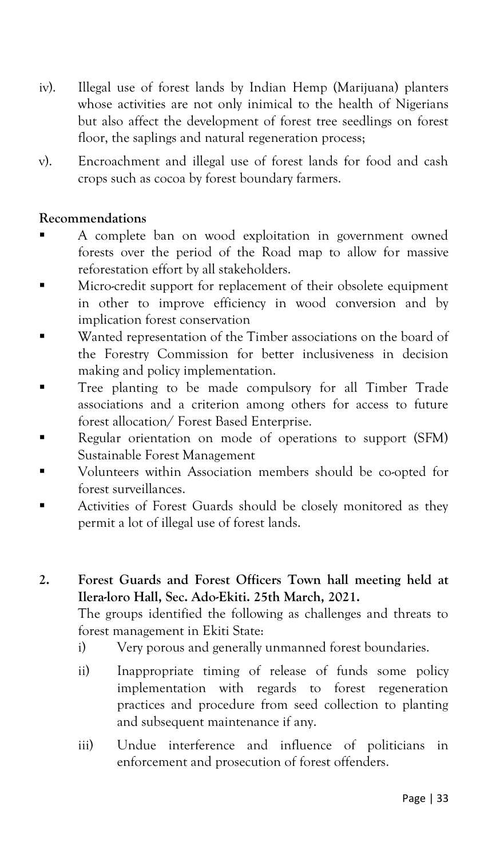- iv). Illegal use of forest lands by Indian Hemp (Marijuana) planters whose activities are not only inimical to the health of Nigerians but also affect the development of forest tree seedlings on forest floor, the saplings and natural regeneration process;
- v). Encroachment and illegal use of forest lands for food and cash crops such as cocoa by forest boundary farmers.

#### **Recommendations**

- A complete ban on wood exploitation in government owned forests over the period of the Road map to allow for massive reforestation effort by all stakeholders.
- **EXECUTE:** Micro-credit support for replacement of their obsolete equipment in other to improve efficiency in wood conversion and by implication forest conservation
- Wanted representation of the Timber associations on the board of the Forestry Commission for better inclusiveness in decision making and policy implementation.
- **Tree planting to be made compulsory for all Timber Trade** associations and a criterion among others for access to future forest allocation/ Forest Based Enterprise.
- Regular orientation on mode of operations to support (SFM) Sustainable Forest Management
- Volunteers within Association members should be co-opted for forest surveillances.
- **EXECUTE:** Activities of Forest Guards should be closely monitored as they permit a lot of illegal use of forest lands.
- **2. Forest Guards and Forest Officers Town hall meeting held at Ilera-loro Hall, Sec. Ado-Ekiti. 25th March, 2021.**

The groups identified the following as challenges and threats to forest management in Ekiti State:

- i) Very porous and generally unmanned forest boundaries.
- ii) Inappropriate timing of release of funds some policy implementation with regards to forest regeneration practices and procedure from seed collection to planting and subsequent maintenance if any.
- iii) Undue interference and influence of politicians in enforcement and prosecution of forest offenders.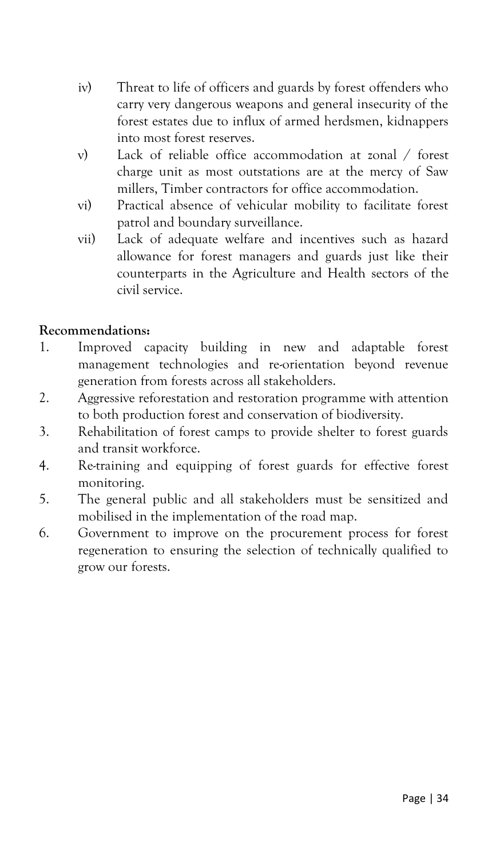- iv) Threat to life of officers and guards by forest offenders who carry very dangerous weapons and general insecurity of the forest estates due to influx of armed herdsmen, kidnappers into most forest reserves.
- v) Lack of reliable office accommodation at zonal / forest charge unit as most outstations are at the mercy of Saw millers, Timber contractors for office accommodation.
- vi) Practical absence of vehicular mobility to facilitate forest patrol and boundary surveillance.
- vii) Lack of adequate welfare and incentives such as hazard allowance for forest managers and guards just like their counterparts in the Agriculture and Health sectors of the civil service.

# **Recommendations:**

- 1. Improved capacity building in new and adaptable forest management technologies and re-orientation beyond revenue generation from forests across all stakeholders.
- 2. Aggressive reforestation and restoration programme with attention to both production forest and conservation of biodiversity.
- 3. Rehabilitation of forest camps to provide shelter to forest guards and transit workforce.
- 4. Re-training and equipping of forest guards for effective forest monitoring.
- 5. The general public and all stakeholders must be sensitized and mobilised in the implementation of the road map.
- 6. Government to improve on the procurement process for forest regeneration to ensuring the selection of technically qualified to grow our forests.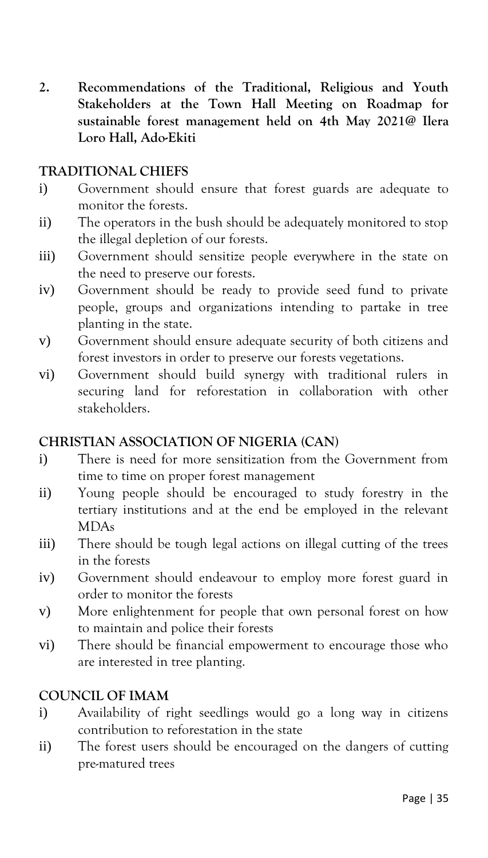**2. Recommendations of the Traditional, Religious and Youth Stakeholders at the Town Hall Meeting on Roadmap for sustainable forest management held on 4th May 2021@ Ilera Loro Hall, Ado-Ekiti**

#### **TRADITIONAL CHIEFS**

- i) Government should ensure that forest guards are adequate to monitor the forests.
- ii) The operators in the bush should be adequately monitored to stop the illegal depletion of our forests.
- iii) Government should sensitize people everywhere in the state on the need to preserve our forests.
- iv) Government should be ready to provide seed fund to private people, groups and organizations intending to partake in tree planting in the state.
- v) Government should ensure adequate security of both citizens and forest investors in order to preserve our forests vegetations.
- vi) Government should build synergy with traditional rulers in securing land for reforestation in collaboration with other stakeholders.

#### **CHRISTIAN ASSOCIATION OF NIGERIA (CAN)**

- i) There is need for more sensitization from the Government from time to time on proper forest management
- ii) Young people should be encouraged to study forestry in the tertiary institutions and at the end be employed in the relevant MDAs
- iii) There should be tough legal actions on illegal cutting of the trees in the forests
- iv) Government should endeavour to employ more forest guard in order to monitor the forests
- v) More enlightenment for people that own personal forest on how to maintain and police their forests
- vi) There should be financial empowerment to encourage those who are interested in tree planting.

#### **COUNCIL OF IMAM**

- i) Availability of right seedlings would go a long way in citizens contribution to reforestation in the state
- ii) The forest users should be encouraged on the dangers of cutting pre-matured trees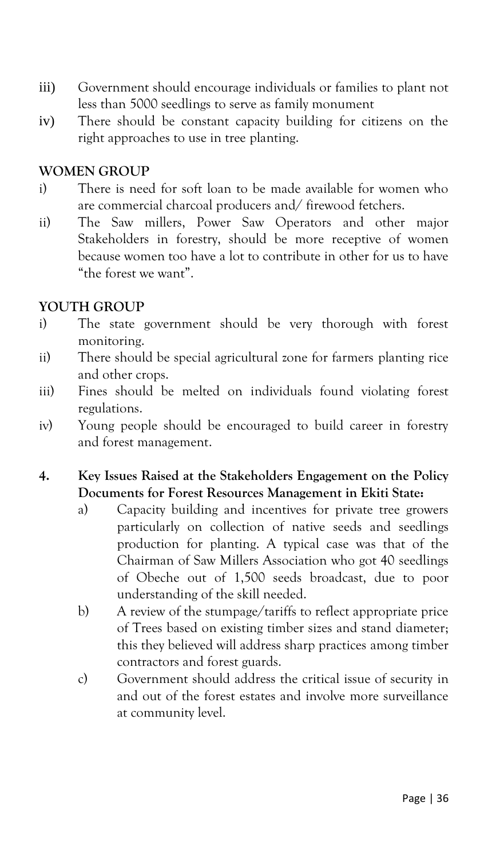- iii) Government should encourage individuals or families to plant not less than 5000 seedlings to serve as family monument
- iv) There should be constant capacity building for citizens on the right approaches to use in tree planting.

#### **WOMEN GROUP**

- i) There is need for soft loan to be made available for women who are commercial charcoal producers and/ firewood fetchers.
- ii) The Saw millers, Power Saw Operators and other major Stakeholders in forestry, should be more receptive of women because women too have a lot to contribute in other for us to have "the forest we want".

#### **YOUTH GROUP**

- i) The state government should be very thorough with forest monitoring.
- ii) There should be special agricultural zone for farmers planting rice and other crops.
- iii) Fines should be melted on individuals found violating forest regulations.
- iv) Young people should be encouraged to build career in forestry and forest management.
- **4. Key Issues Raised at the Stakeholders Engagement on the Policy Documents for Forest Resources Management in Ekiti State:**
	- a) Capacity building and incentives for private tree growers particularly on collection of native seeds and seedlings production for planting. A typical case was that of the Chairman of Saw Millers Association who got 40 seedlings of Obeche out of 1,500 seeds broadcast, due to poor understanding of the skill needed.
	- b) A review of the stumpage/tariffs to reflect appropriate price of Trees based on existing timber sizes and stand diameter; this they believed will address sharp practices among timber contractors and forest guards.
	- c) Government should address the critical issue of security in and out of the forest estates and involve more surveillance at community level.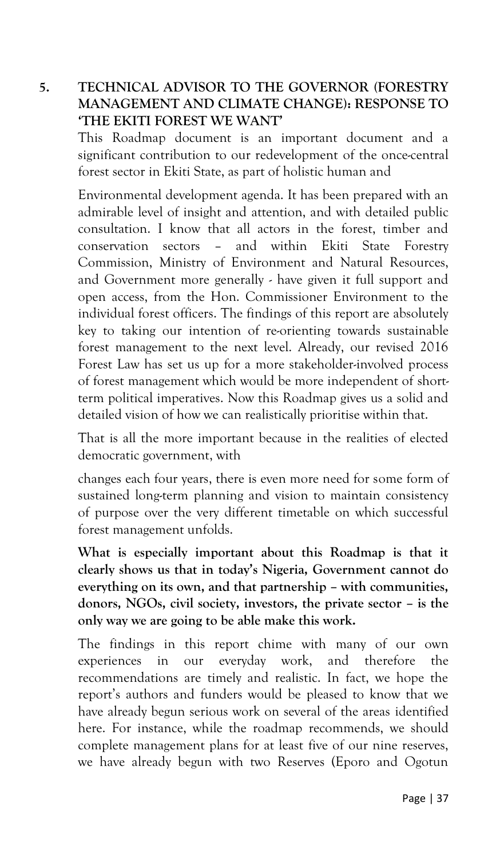# **5. TECHNICAL ADVISOR TO THE GOVERNOR (FORESTRY MANAGEMENT AND CLIMATE CHANGE): RESPONSE TO 'THE EKITI FOREST WE WANT'**

This Roadmap document is an important document and a significant contribution to our redevelopment of the once-central forest sector in Ekiti State, as part of holistic human and

Environmental development agenda. It has been prepared with an admirable level of insight and attention, and with detailed public consultation. I know that all actors in the forest, timber and conservation sectors – and within Ekiti State Forestry Commission, Ministry of Environment and Natural Resources, and Government more generally - have given it full support and open access, from the Hon. Commissioner Environment to the individual forest officers. The findings of this report are absolutely key to taking our intention of re-orienting towards sustainable forest management to the next level. Already, our revised 2016 Forest Law has set us up for a more stakeholder-involved process of forest management which would be more independent of shortterm political imperatives. Now this Roadmap gives us a solid and detailed vision of how we can realistically prioritise within that.

That is all the more important because in the realities of elected democratic government, with

changes each four years, there is even more need for some form of sustained long-term planning and vision to maintain consistency of purpose over the very different timetable on which successful forest management unfolds.

**What is especially important about this Roadmap is that it clearly shows us that in today's Nigeria, Government cannot do everything on its own, and that partnership – with communities, donors, NGOs, civil society, investors, the private sector – is the only way we are going to be able make this work.**

The findings in this report chime with many of our own experiences in our everyday work, and therefore the recommendations are timely and realistic. In fact, we hope the report's authors and funders would be pleased to know that we have already begun serious work on several of the areas identified here. For instance, while the roadmap recommends, we should complete management plans for at least five of our nine reserves, we have already begun with two Reserves (Eporo and Ogotun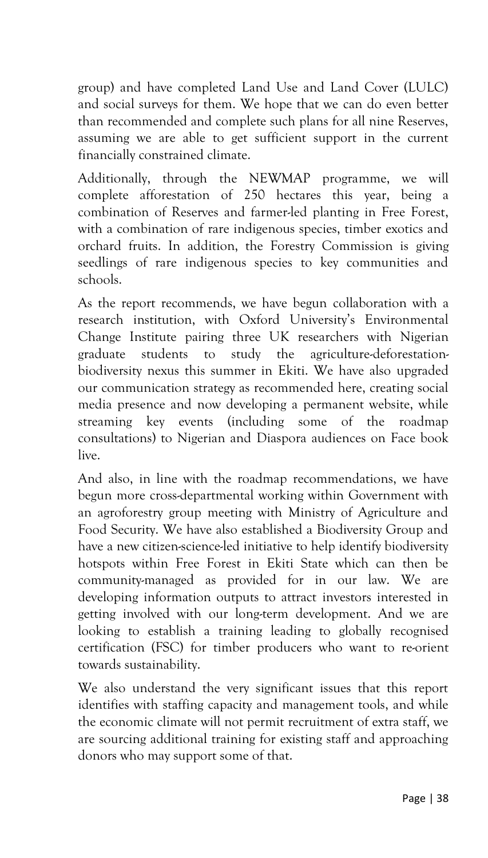group) and have completed Land Use and Land Cover (LULC) and social surveys for them. We hope that we can do even better than recommended and complete such plans for all nine Reserves, assuming we are able to get sufficient support in the current financially constrained climate.

Additionally, through the NEWMAP programme, we will complete afforestation of 250 hectares this year, being a combination of Reserves and farmer-led planting in Free Forest, with a combination of rare indigenous species, timber exotics and orchard fruits. In addition, the Forestry Commission is giving seedlings of rare indigenous species to key communities and schools.

As the report recommends, we have begun collaboration with a research institution, with Oxford University's Environmental Change Institute pairing three UK researchers with Nigerian graduate students to study the agriculture-deforestationbiodiversity nexus this summer in Ekiti. We have also upgraded our communication strategy as recommended here, creating social media presence and now developing a permanent website, while streaming key events (including some of the roadmap consultations) to Nigerian and Diaspora audiences on Face book live.

And also, in line with the roadmap recommendations, we have begun more cross-departmental working within Government with an agroforestry group meeting with Ministry of Agriculture and Food Security. We have also established a Biodiversity Group and have a new citizen-science-led initiative to help identify biodiversity hotspots within Free Forest in Ekiti State which can then be community-managed as provided for in our law. We are developing information outputs to attract investors interested in getting involved with our long-term development. And we are looking to establish a training leading to globally recognised certification (FSC) for timber producers who want to re-orient towards sustainability.

We also understand the very significant issues that this report identifies with staffing capacity and management tools, and while the economic climate will not permit recruitment of extra staff, we are sourcing additional training for existing staff and approaching donors who may support some of that.